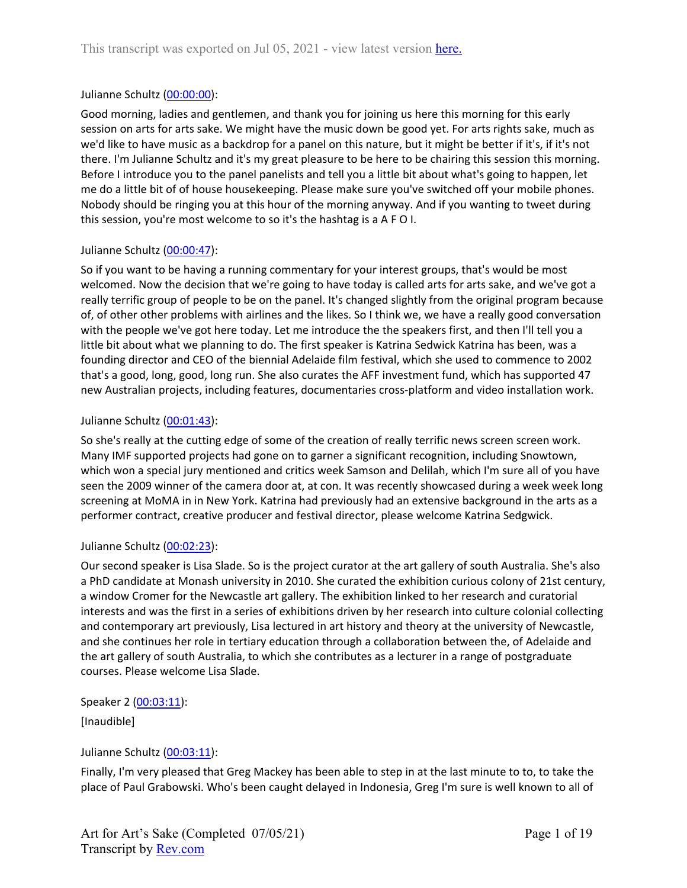## Julianne Schultz ([00:00:00](https://www.rev.com/transcript-editor/Edit?token=kywL7C-IDNTr2qbLYITYFDxhuZTjfSM3aZHTyhEZCE8T4VWxEHcgNBZVuRRwvxlwOPkfTpIDODVH-zWD-nyekpDJSxk&loadFrom=DocumentDeeplink&ts=0.12)):

Good morning, ladies and gentlemen, and thank you for joining us here this morning for this early session on arts for arts sake. We might have the music down be good yet. For arts rights sake, much as we'd like to have music as a backdrop for a panel on this nature, but it might be better if it's, if it's not there. I'm Julianne Schultz and it's my great pleasure to be here to be chairing this session this morning. Before I introduce you to the panel panelists and tell you a little bit about what's going to happen, let me do a little bit of of house housekeeping. Please make sure you've switched off your mobile phones. Nobody should be ringing you at this hour of the morning anyway. And if you wanting to tweet during this session, you're most welcome to so it's the hashtag is a A F O I.

## Julianne Schultz ([00:00:47](https://www.rev.com/transcript-editor/Edit?token=mTSZa2LUjRCgXxAp8UKJiN-eGL0EfOCmGFXbZ1hCjPgz41UmHFT85OVU0SKAeI0X3F5xBgymWWPnBx_UjuAiHpupYMo&loadFrom=DocumentDeeplink&ts=47.79)):

So if you want to be having a running commentary for your interest groups, that's would be most welcomed. Now the decision that we're going to have today is called arts for arts sake, and we've got a really terrific group of people to be on the panel. It's changed slightly from the original program because of, of other other problems with airlines and the likes. So I think we, we have a really good conversation with the people we've got here today. Let me introduce the the speakers first, and then I'll tell you a little bit about what we planning to do. The first speaker is Katrina Sedwick Katrina has been, was a founding director and CEO of the biennial Adelaide film festival, which she used to commence to 2002 that's a good, long, good, long run. She also curates the AFF investment fund, which has supported 47 new Australian projects, including features, documentaries cross-platform and video installation work.

## Julianne Schultz ([00:01:43](https://www.rev.com/transcript-editor/Edit?token=VdHk6bZYgcMPPMCZZGSaGjvOj3FbMU9d3xmpaSyOa3iarUMcb81gfb-9AgGlBjNMhZQtx_ix2DezfvTuT9FZrojsv6A&loadFrom=DocumentDeeplink&ts=103.26)):

So she's really at the cutting edge of some of the creation of really terrific news screen screen work. Many IMF supported projects had gone on to garner a significant recognition, including Snowtown, which won a special jury mentioned and critics week Samson and Delilah, which I'm sure all of you have seen the 2009 winner of the camera door at, at con. It was recently showcased during a week week long screening at MoMA in in New York. Katrina had previously had an extensive background in the arts as a performer contract, creative producer and festival director, please welcome Katrina Sedgwick.

## Julianne Schultz ([00:02:23](https://www.rev.com/transcript-editor/Edit?token=P9aYxLyCECZ0OkO3jCt-bVMAP9NXx261jW9BTWK5cYKKhwZ6xPZvBTWkHUcuWlBiDQ8RjQcajeKPAWBCqjznF2-R1Fo&loadFrom=DocumentDeeplink&ts=143.69)):

Our second speaker is Lisa Slade. So is the project curator at the art gallery of south Australia. She's also a PhD candidate at Monash university in 2010. She curated the exhibition curious colony of 21st century, a window Cromer for the Newcastle art gallery. The exhibition linked to her research and curatorial interests and was the first in a series of exhibitions driven by her research into culture colonial collecting and contemporary art previously, Lisa lectured in art history and theory at the university of Newcastle, and she continues her role in tertiary education through a collaboration between the, of Adelaide and the art gallery of south Australia, to which she contributes as a lecturer in a range of postgraduate courses. Please welcome Lisa Slade.

# Speaker 2 ([00:03:11](https://www.rev.com/transcript-editor/Edit?token=OaWWtcdPStBb27cRNA7CeoNQyOBZopm2snAEfUQ4rxcLlNtFrKOE4-ye8-MqTeIICaJb3U_yTe69zsnq2E_o2FFetJ0&loadFrom=DocumentDeeplink&ts=191.1)):

[Inaudible]

# Julianne Schultz ([00:03:11](https://www.rev.com/transcript-editor/Edit?token=YYAkZ7AcP_jUol9Vs4olLyYv5gSQTtCHqvXEXZ3YBPvgXBs_Pe_qhVya4Dn2wF-kcEd86QBK1_iGBAUKCyd2Vk4WANY&loadFrom=DocumentDeeplink&ts=191.55)):

Finally, I'm very pleased that Greg Mackey has been able to step in at the last minute to to, to take the place of Paul Grabowski. Who's been caught delayed in Indonesia, Greg I'm sure is well known to all of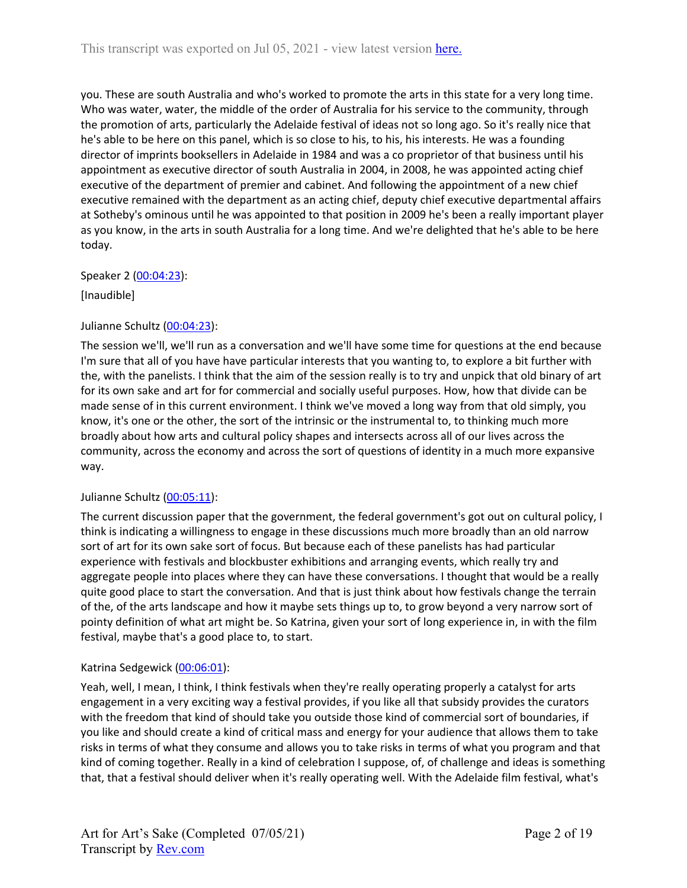you. These are south Australia and who's worked to promote the arts in this state for a very long time. Who was water, water, the middle of the order of Australia for his service to the community, through the promotion of arts, particularly the Adelaide festival of ideas not so long ago. So it's really nice that he's able to be here on this panel, which is so close to his, to his, his interests. He was a founding director of imprints booksellers in Adelaide in 1984 and was a co proprietor of that business until his appointment as executive director of south Australia in 2004, in 2008, he was appointed acting chief executive of the department of premier and cabinet. And following the appointment of a new chief executive remained with the department as an acting chief, deputy chief executive departmental affairs at Sotheby's ominous until he was appointed to that position in 2009 he's been a really important player as you know, in the arts in south Australia for a long time. And we're delighted that he's able to be here today.

## Speaker 2 ([00:04:23](https://www.rev.com/transcript-editor/Edit?token=u4aLcAJgUABe3gVYv0NyweP-qnz0WVJgF3JeUX0bBI0scrg--2Y_YU0DNzB8XIfrGTplgIvcffdiuM8w4ax8RQy_RGY&loadFrom=DocumentDeeplink&ts=263.85)):

[Inaudible]

# Julianne Schultz ([00:04:23](https://www.rev.com/transcript-editor/Edit?token=nnczbUZjf01vzL-CzenEulYQlZA34dH8Ni7Lpr8VDHpB28iQA-CzgANCsdh6k95hrFu9rFSBdjLXCfzsVGnUSxscGMk&loadFrom=DocumentDeeplink&ts=263.94)):

The session we'll, we'll run as a conversation and we'll have some time for questions at the end because I'm sure that all of you have have particular interests that you wanting to, to explore a bit further with the, with the panelists. I think that the aim of the session really is to try and unpick that old binary of art for its own sake and art for for commercial and socially useful purposes. How, how that divide can be made sense of in this current environment. I think we've moved a long way from that old simply, you know, it's one or the other, the sort of the intrinsic or the instrumental to, to thinking much more broadly about how arts and cultural policy shapes and intersects across all of our lives across the community, across the economy and across the sort of questions of identity in a much more expansive way.

## Julianne Schultz ([00:05:11](https://www.rev.com/transcript-editor/Edit?token=2HAC_RnYaX72n_gPfbxBVr8iHJuKrbMfRz1UrZm9Ffz-fSv1bZifCJPnkTARStc7J66hWR0Tg9MZLK_CSu7msuj44Fw&loadFrom=DocumentDeeplink&ts=311.28)):

The current discussion paper that the government, the federal government's got out on cultural policy, I think is indicating a willingness to engage in these discussions much more broadly than an old narrow sort of art for its own sake sort of focus. But because each of these panelists has had particular experience with festivals and blockbuster exhibitions and arranging events, which really try and aggregate people into places where they can have these conversations. I thought that would be a really quite good place to start the conversation. And that is just think about how festivals change the terrain of the, of the arts landscape and how it maybe sets things up to, to grow beyond a very narrow sort of pointy definition of what art might be. So Katrina, given your sort of long experience in, in with the film festival, maybe that's a good place to, to start.

## Katrina Sedgewick [\(00:06:01\)](https://www.rev.com/transcript-editor/Edit?token=xSMkBMYOVb-goJbAoxlEOmFtOwpL3rlRrqSSgSihkN6EH4ZVwC2aObybk-TvbinrfbrcNZXd_o5c6rlFIV56-N3TMQ4&loadFrom=DocumentDeeplink&ts=361.25):

Yeah, well, I mean, I think, I think festivals when they're really operating properly a catalyst for arts engagement in a very exciting way a festival provides, if you like all that subsidy provides the curators with the freedom that kind of should take you outside those kind of commercial sort of boundaries, if you like and should create a kind of critical mass and energy for your audience that allows them to take risks in terms of what they consume and allows you to take risks in terms of what you program and that kind of coming together. Really in a kind of celebration I suppose, of, of challenge and ideas is something that, that a festival should deliver when it's really operating well. With the Adelaide film festival, what's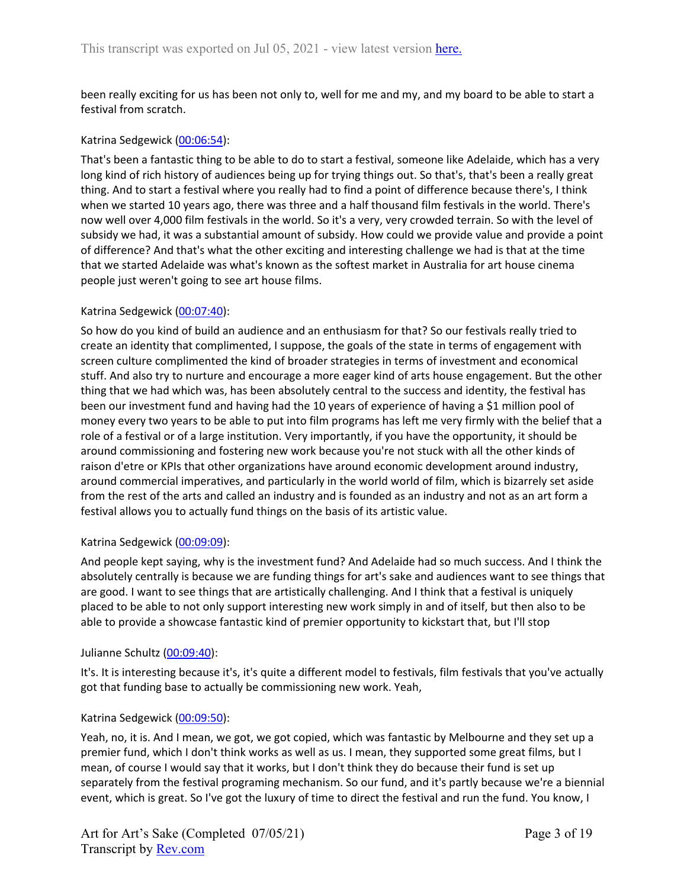been really exciting for us has been not only to, well for me and my, and my board to be able to start a festival from scratch.

## Katrina Sedgewick [\(00:06:54\)](https://www.rev.com/transcript-editor/Edit?token=BDyS1D5WtfAqLTU-R-fvz1_TceRuFw2UGGoDD5UQK0DyJBqth0liSAiZ8bp_fP3sM0CNIkekOZZtFWPmkL-WoeKASSI&loadFrom=DocumentDeeplink&ts=414.02):

That's been a fantastic thing to be able to do to start a festival, someone like Adelaide, which has a very long kind of rich history of audiences being up for trying things out. So that's, that's been a really great thing. And to start a festival where you really had to find a point of difference because there's, I think when we started 10 years ago, there was three and a half thousand film festivals in the world. There's now well over 4,000 film festivals in the world. So it's a very, very crowded terrain. So with the level of subsidy we had, it was a substantial amount of subsidy. How could we provide value and provide a point of difference? And that's what the other exciting and interesting challenge we had is that at the time that we started Adelaide was what's known as the softest market in Australia for art house cinema people just weren't going to see art house films.

## Katrina Sedgewick [\(00:07:40\)](https://www.rev.com/transcript-editor/Edit?token=axzbBRIvPCaPIPWViMRX_r6or-zCS7pc3U5x9nM2bfUZa2VnMqBAb3feaJnXeQpfw_3qTdGeIZ57r0dkpqSZCo8GtcA&loadFrom=DocumentDeeplink&ts=460.7):

So how do you kind of build an audience and an enthusiasm for that? So our festivals really tried to create an identity that complimented, I suppose, the goals of the state in terms of engagement with screen culture complimented the kind of broader strategies in terms of investment and economical stuff. And also try to nurture and encourage a more eager kind of arts house engagement. But the other thing that we had which was, has been absolutely central to the success and identity, the festival has been our investment fund and having had the 10 years of experience of having a \$1 million pool of money every two years to be able to put into film programs has left me very firmly with the belief that a role of a festival or of a large institution. Very importantly, if you have the opportunity, it should be around commissioning and fostering new work because you're not stuck with all the other kinds of raison d'etre or KPIs that other organizations have around economic development around industry, around commercial imperatives, and particularly in the world world of film, which is bizarrely set aside from the rest of the arts and called an industry and is founded as an industry and not as an art form a festival allows you to actually fund things on the basis of its artistic value.

## Katrina Sedgewick [\(00:09:09\)](https://www.rev.com/transcript-editor/Edit?token=tad38xitu76t3EU-UJVFkV4yMpcKlqD1hLjdw0IpN0RyBm29wQYRMEjVOTadVpjvutazbua8wd7tCJradQ4WoAVgRu8&loadFrom=DocumentDeeplink&ts=549.63):

And people kept saying, why is the investment fund? And Adelaide had so much success. And I think the absolutely centrally is because we are funding things for art's sake and audiences want to see things that are good. I want to see things that are artistically challenging. And I think that a festival is uniquely placed to be able to not only support interesting new work simply in and of itself, but then also to be able to provide a showcase fantastic kind of premier opportunity to kickstart that, but I'll stop

## Julianne Schultz ([00:09:40](https://www.rev.com/transcript-editor/Edit?token=NLi_0hUlmnxP0Mtlp_vVOXCzDkoSC1RnG3jKhRoawyFQNyzIz698VJdkqdKVeYxz-eMcRjLnVzcjUAuy1EFi1G19iiE&loadFrom=DocumentDeeplink&ts=580.35)):

It's. It is interesting because it's, it's quite a different model to festivals, film festivals that you've actually got that funding base to actually be commissioning new work. Yeah,

## Katrina Sedgewick [\(00:09:50\)](https://www.rev.com/transcript-editor/Edit?token=eiZbuIjqKl3K7qU3HCQrj3GTABAv27yfiUV1Dcevtz9gJtQNkGpqEjctPormQ3Qf0FNICVxjA0YR4HTwBgkis9Zzz3w&loadFrom=DocumentDeeplink&ts=590.12):

Yeah, no, it is. And I mean, we got, we got copied, which was fantastic by Melbourne and they set up a premier fund, which I don't think works as well as us. I mean, they supported some great films, but I mean, of course I would say that it works, but I don't think they do because their fund is set up separately from the festival programing mechanism. So our fund, and it's partly because we're a biennial event, which is great. So I've got the luxury of time to direct the festival and run the fund. You know, I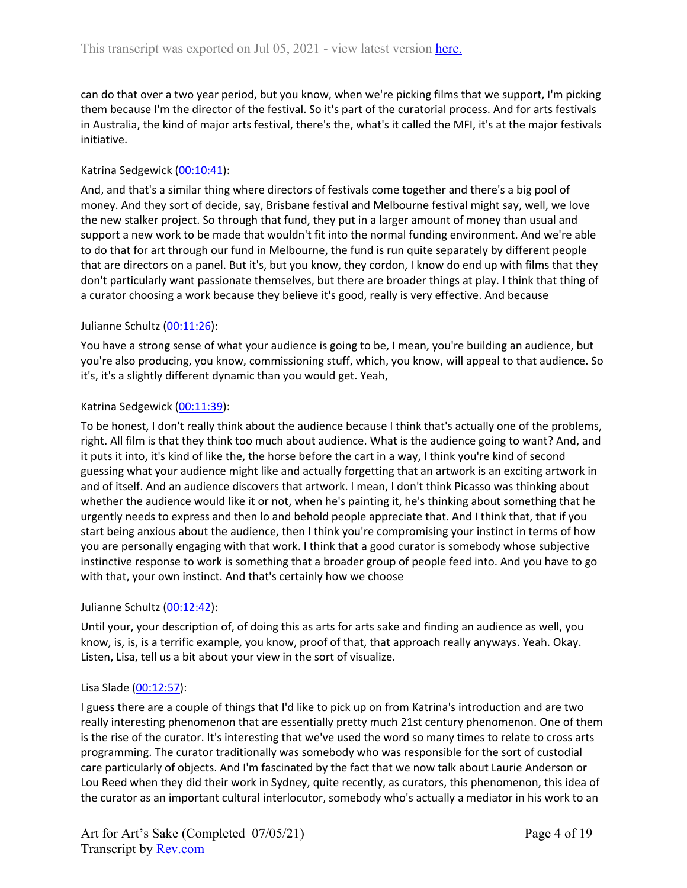can do that over a two year period, but you know, when we're picking films that we support, I'm picking them because I'm the director of the festival. So it's part of the curatorial process. And for arts festivals in Australia, the kind of major arts festival, there's the, what's it called the MFI, it's at the major festivals initiative.

## Katrina Sedgewick [\(00:10:41\)](https://www.rev.com/transcript-editor/Edit?token=pPAkwrf6uswLVohGHyv6hn_T_oyam67EB6RlvrwivghDJFZyvUwUD4530INoPN216ShDsgn8VCXizWZ_wN7PVyZdKrc&loadFrom=DocumentDeeplink&ts=641.63):

And, and that's a similar thing where directors of festivals come together and there's a big pool of money. And they sort of decide, say, Brisbane festival and Melbourne festival might say, well, we love the new stalker project. So through that fund, they put in a larger amount of money than usual and support a new work to be made that wouldn't fit into the normal funding environment. And we're able to do that for art through our fund in Melbourne, the fund is run quite separately by different people that are directors on a panel. But it's, but you know, they cordon, I know do end up with films that they don't particularly want passionate themselves, but there are broader things at play. I think that thing of a curator choosing a work because they believe it's good, really is very effective. And because

## Julianne Schultz ([00:11:26](https://www.rev.com/transcript-editor/Edit?token=o3jmNkAQCfNbzhzQ971mmtCIVrR_mxdivUBzsA01bVojOwKHm_rE9PBltfGApK62JNJUIrSaGUa_RKh4r2Yyn3jGznE&loadFrom=DocumentDeeplink&ts=686.42)):

You have a strong sense of what your audience is going to be, I mean, you're building an audience, but you're also producing, you know, commissioning stuff, which, you know, will appeal to that audience. So it's, it's a slightly different dynamic than you would get. Yeah,

## Katrina Sedgewick [\(00:11:39\)](https://www.rev.com/transcript-editor/Edit?token=Ek2yzknunvUym7WuAdGgN2qeAsWGhbeVAlCPi9gSr4tCVpeJhuNhzLmAIGlLFizBY8o244re666gRnZvE214jVe4z5I&loadFrom=DocumentDeeplink&ts=699.68):

To be honest, I don't really think about the audience because I think that's actually one of the problems, right. All film is that they think too much about audience. What is the audience going to want? And, and it puts it into, it's kind of like the, the horse before the cart in a way, I think you're kind of second guessing what your audience might like and actually forgetting that an artwork is an exciting artwork in and of itself. And an audience discovers that artwork. I mean, I don't think Picasso was thinking about whether the audience would like it or not, when he's painting it, he's thinking about something that he urgently needs to express and then lo and behold people appreciate that. And I think that, that if you start being anxious about the audience, then I think you're compromising your instinct in terms of how you are personally engaging with that work. I think that a good curator is somebody whose subjective instinctive response to work is something that a broader group of people feed into. And you have to go with that, your own instinct. And that's certainly how we choose

## Julianne Schultz ([00:12:42](https://www.rev.com/transcript-editor/Edit?token=VJ6uzQmpMHepF8omdiNyNPEmZ0EqqrEL6yUyFkBWJTDhFBg8JhSmg-Ayj3MijenqnpvxYQ3rkFKmfvd4cPGUSEBigL4&loadFrom=DocumentDeeplink&ts=762.21)):

Until your, your description of, of doing this as arts for arts sake and finding an audience as well, you know, is, is, is a terrific example, you know, proof of that, that approach really anyways. Yeah. Okay. Listen, Lisa, tell us a bit about your view in the sort of visualize.

## Lisa Slade [\(00:12:57](https://www.rev.com/transcript-editor/Edit?token=McgT4fdAuf8l_hunaqmlaPVAojDa_piXSZkv8aKqAbUesi5hL1ekE1R5_qOwHDMFJUeXLmiskagtwRbt5HIrlVlUGIQ&loadFrom=DocumentDeeplink&ts=777.24)):

I guess there are a couple of things that I'd like to pick up on from Katrina's introduction and are two really interesting phenomenon that are essentially pretty much 21st century phenomenon. One of them is the rise of the curator. It's interesting that we've used the word so many times to relate to cross arts programming. The curator traditionally was somebody who was responsible for the sort of custodial care particularly of objects. And I'm fascinated by the fact that we now talk about Laurie Anderson or Lou Reed when they did their work in Sydney, quite recently, as curators, this phenomenon, this idea of the curator as an important cultural interlocutor, somebody who's actually a mediator in his work to an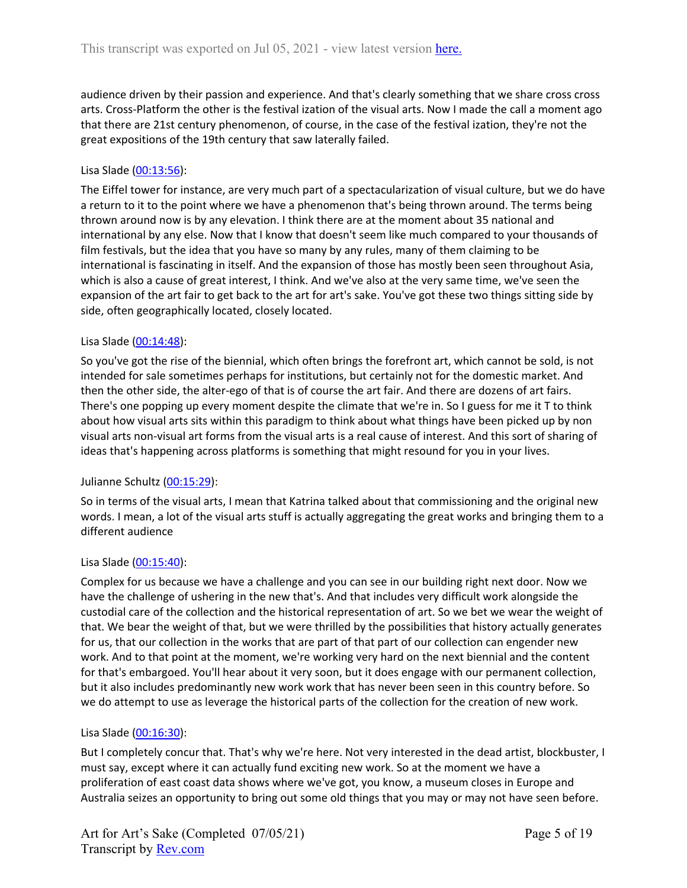audience driven by their passion and experience. And that's clearly something that we share cross cross arts. Cross-Platform the other is the festival ization of the visual arts. Now I made the call a moment ago that there are 21st century phenomenon, of course, in the case of the festival ization, they're not the great expositions of the 19th century that saw laterally failed.

## Lisa Slade [\(00:13:56](https://www.rev.com/transcript-editor/Edit?token=LQ6ZYv4sEEuj5YDjZcYuRK8rkx7fu5vvRh2lb1yfFkEHc8pLhPj-epo26SjIL59b2o5eq7pJU67ciYUDv1q3DuHNOOc&loadFrom=DocumentDeeplink&ts=836.46)):

The Eiffel tower for instance, are very much part of a spectacularization of visual culture, but we do have a return to it to the point where we have a phenomenon that's being thrown around. The terms being thrown around now is by any elevation. I think there are at the moment about 35 national and international by any else. Now that I know that doesn't seem like much compared to your thousands of film festivals, but the idea that you have so many by any rules, many of them claiming to be international is fascinating in itself. And the expansion of those has mostly been seen throughout Asia, which is also a cause of great interest, I think. And we've also at the very same time, we've seen the expansion of the art fair to get back to the art for art's sake. You've got these two things sitting side by side, often geographically located, closely located.

## Lisa Slade [\(00:14:48](https://www.rev.com/transcript-editor/Edit?token=5p2OLe1goIsBw1GtE9_m-lqJuYx-1Mtsbx58iSqOV5t4iKrlLKCY6zD_jbciQMscOBrDO04qGsRJ-ra7smxmesRfVys&loadFrom=DocumentDeeplink&ts=888.18)):

So you've got the rise of the biennial, which often brings the forefront art, which cannot be sold, is not intended for sale sometimes perhaps for institutions, but certainly not for the domestic market. And then the other side, the alter-ego of that is of course the art fair. And there are dozens of art fairs. There's one popping up every moment despite the climate that we're in. So I guess for me it T to think about how visual arts sits within this paradigm to think about what things have been picked up by non visual arts non-visual art forms from the visual arts is a real cause of interest. And this sort of sharing of ideas that's happening across platforms is something that might resound for you in your lives.

## Julianne Schultz ([00:15:29](https://www.rev.com/transcript-editor/Edit?token=1VNGm1sr1tVG3GUc08K_MP2uJ3AXKiwPWpUzELp8iM3yVCHXlFIo5imsKTelVSWrlTdghRdZj-rXPL6EA3hU_vVcE2c&loadFrom=DocumentDeeplink&ts=929.83)):

So in terms of the visual arts, I mean that Katrina talked about that commissioning and the original new words. I mean, a lot of the visual arts stuff is actually aggregating the great works and bringing them to a different audience

## Lisa Slade [\(00:15:40](https://www.rev.com/transcript-editor/Edit?token=IAeYexMZooOyS4opD_24mKa0xUheBG7_7_J6qXn5ERUiLDmW7YAL8H8F_noIMLlIYn4QYiGbEeGOtk6tPaIIaMTjrGc&loadFrom=DocumentDeeplink&ts=940.75)):

Complex for us because we have a challenge and you can see in our building right next door. Now we have the challenge of ushering in the new that's. And that includes very difficult work alongside the custodial care of the collection and the historical representation of art. So we bet we wear the weight of that. We bear the weight of that, but we were thrilled by the possibilities that history actually generates for us, that our collection in the works that are part of that part of our collection can engender new work. And to that point at the moment, we're working very hard on the next biennial and the content for that's embargoed. You'll hear about it very soon, but it does engage with our permanent collection, but it also includes predominantly new work work that has never been seen in this country before. So we do attempt to use as leverage the historical parts of the collection for the creation of new work.

## Lisa Slade [\(00:16:30](https://www.rev.com/transcript-editor/Edit?token=ZJgqFYmCRKw41_yzZiRdueBndK1SbTseTBqBykDgMSHJ5QqxQ9xQ6GKEyrhkjx5pGVpVV3fvgYFbcpcN1S_xE5J62d8&loadFrom=DocumentDeeplink&ts=990.58)):

But I completely concur that. That's why we're here. Not very interested in the dead artist, blockbuster, I must say, except where it can actually fund exciting new work. So at the moment we have a proliferation of east coast data shows where we've got, you know, a museum closes in Europe and Australia seizes an opportunity to bring out some old things that you may or may not have seen before.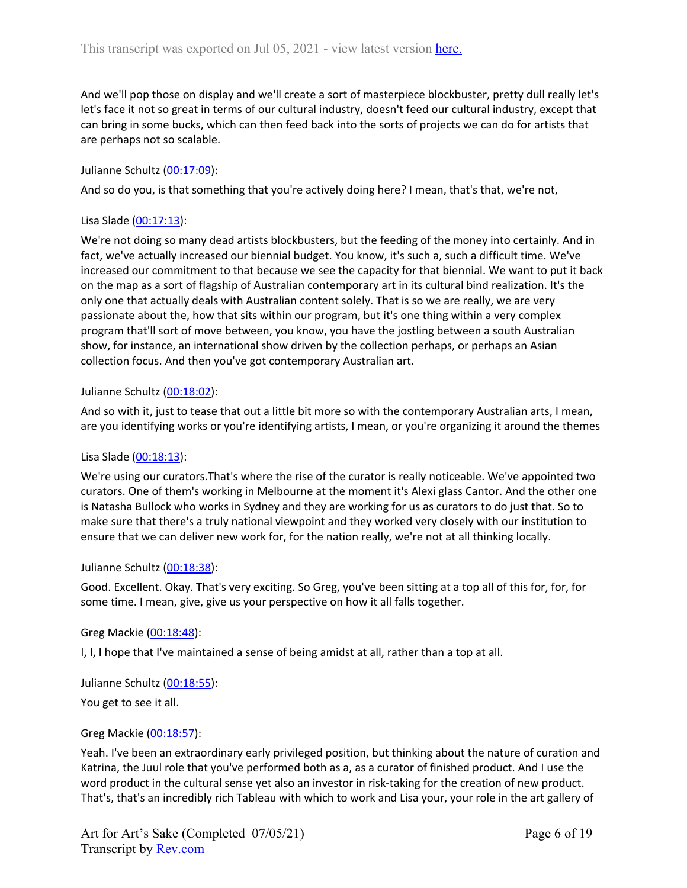And we'll pop those on display and we'll create a sort of masterpiece blockbuster, pretty dull really let's let's face it not so great in terms of our cultural industry, doesn't feed our cultural industry, except that can bring in some bucks, which can then feed back into the sorts of projects we can do for artists that are perhaps not so scalable.

## Julianne Schultz ([00:17:09](https://www.rev.com/transcript-editor/Edit?token=ML7nBlByXy5bp7nf-tYiwVTWubgHDCmiV6wXMEA3RpQySs7aLOfdD0ineyEdoMAaIYdbICD5unGU1WCQvD_CbyXcPEE&loadFrom=DocumentDeeplink&ts=1029.94)):

And so do you, is that something that you're actively doing here? I mean, that's that, we're not,

## Lisa Slade [\(00:17:13](https://www.rev.com/transcript-editor/Edit?token=1JZyoW5c1F_3FUt8XS_WuLP84p-o0QljBZm_qOQvMaa4MdCTJf5W1-W22Gj0lLPyvbgfh0MFUfR594h39og7LqwY0nc&loadFrom=DocumentDeeplink&ts=1033.81)):

We're not doing so many dead artists blockbusters, but the feeding of the money into certainly. And in fact, we've actually increased our biennial budget. You know, it's such a, such a difficult time. We've increased our commitment to that because we see the capacity for that biennial. We want to put it back on the map as a sort of flagship of Australian contemporary art in its cultural bind realization. It's the only one that actually deals with Australian content solely. That is so we are really, we are very passionate about the, how that sits within our program, but it's one thing within a very complex program that'll sort of move between, you know, you have the jostling between a south Australian show, for instance, an international show driven by the collection perhaps, or perhaps an Asian collection focus. And then you've got contemporary Australian art.

## Julianne Schultz ([00:18:02](https://www.rev.com/transcript-editor/Edit?token=lmlHeU11h1JY903ibrNCP7ytHaj0AFTwCdDYjI7u3RFoxV7t_7_n6ootljRb7pGVctVLwpTGSATZ2OG6QDIiQaCkBlw&loadFrom=DocumentDeeplink&ts=1082.04)):

And so with it, just to tease that out a little bit more so with the contemporary Australian arts, I mean, are you identifying works or you're identifying artists, I mean, or you're organizing it around the themes

## Lisa Slade [\(00:18:13](https://www.rev.com/transcript-editor/Edit?token=yJYXGulsWVM8tluZbvPU_qa9oGbU39FPU5ZYVDumzyWU_ZellqeCh5OXowk86Hf8ALvMCnjthqXBLQUtqf3Uz7foT3w&loadFrom=DocumentDeeplink&ts=1093.14)):

We're using our curators.That's where the rise of the curator is really noticeable. We've appointed two curators. One of them's working in Melbourne at the moment it's Alexi glass Cantor. And the other one is Natasha Bullock who works in Sydney and they are working for us as curators to do just that. So to make sure that there's a truly national viewpoint and they worked very closely with our institution to ensure that we can deliver new work for, for the nation really, we're not at all thinking locally.

## Julianne Schultz ([00:18:38](https://www.rev.com/transcript-editor/Edit?token=Q1Z_Isvwn6DmVPm6IbLDzdpC6xs-XbNc2Dm6iW6bezxP9bwf9xxqGmsWo7N-gOzVsR8iMvRqRE0X3NgEK1dwiCWmXs0&loadFrom=DocumentDeeplink&ts=1118.46)):

Good. Excellent. Okay. That's very exciting. So Greg, you've been sitting at a top all of this for, for, for some time. I mean, give, give us your perspective on how it all falls together.

## Greg Mackie [\(00:18:48](https://www.rev.com/transcript-editor/Edit?token=lT5Zw3rU6EaEPuFWIoU3VVUNsm0FKJ-UtRi5kEvMbBjCQ9ozLBm6GUxBMjoKWLFq8PZ1jqvLbeYy0E55K_JQKjhNZMU&loadFrom=DocumentDeeplink&ts=1128.67)):

I, I, I hope that I've maintained a sense of being amidst at all, rather than a top at all.

Julianne Schultz ([00:18:55](https://www.rev.com/transcript-editor/Edit?token=T3OikdcRSqWLm_a8SbvYGRlmgsntoRjUSVKXC_smLqltroCWSZLpNZ6SIaT8gX2suIY1Egfx0cVsul6C9ZCgvC1tUSw&loadFrom=DocumentDeeplink&ts=1135.37)):

You get to see it all.

## Greg Mackie [\(00:18:57](https://www.rev.com/transcript-editor/Edit?token=vL8pPPSmspwpXOvbB0PDCi8iTidDnxzxK8lbZRxgYEvwzSbGsftfOVyd9Zc0SJBwJQ5CCggpQhHT9viJazL0yPWWPrg&loadFrom=DocumentDeeplink&ts=1137.53)):

Yeah. I've been an extraordinary early privileged position, but thinking about the nature of curation and Katrina, the Juul role that you've performed both as a, as a curator of finished product. And I use the word product in the cultural sense yet also an investor in risk-taking for the creation of new product. That's, that's an incredibly rich Tableau with which to work and Lisa your, your role in the art gallery of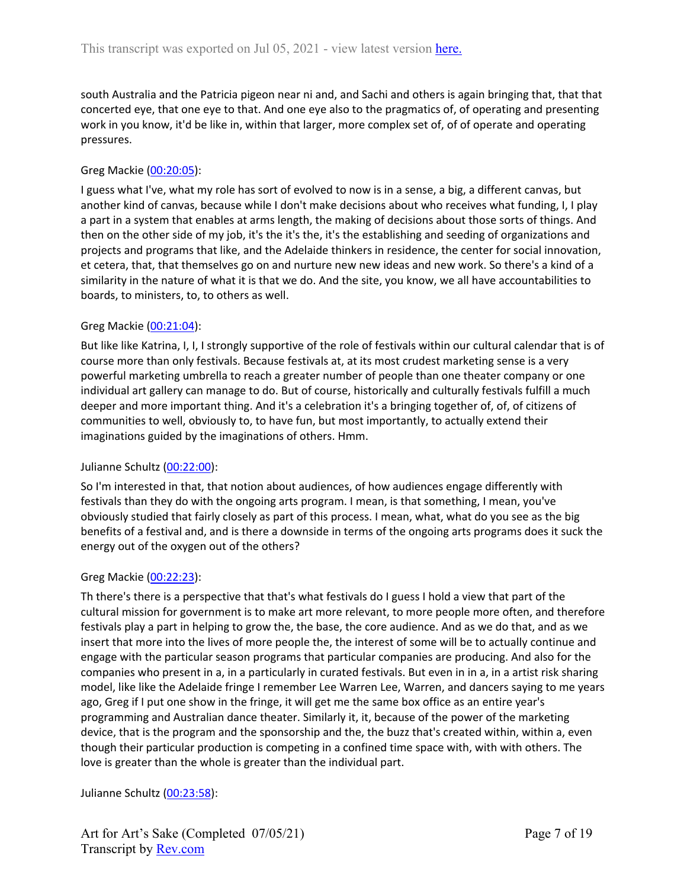south Australia and the Patricia pigeon near ni and, and Sachi and others is again bringing that, that that concerted eye, that one eye to that. And one eye also to the pragmatics of, of operating and presenting work in you know, it'd be like in, within that larger, more complex set of, of of operate and operating pressures.

## Greg Mackie [\(00:20:05](https://www.rev.com/transcript-editor/Edit?token=IaJeMgQqk07AHf9FOl68AcgFy0BmxO96d8SRqsUT0icALsF-fS5fbCuSUbJkxGexFLOVbyylMv7c0dKkpGAmyNnF21U&loadFrom=DocumentDeeplink&ts=1205.81)):

I guess what I've, what my role has sort of evolved to now is in a sense, a big, a different canvas, but another kind of canvas, because while I don't make decisions about who receives what funding, I, I play a part in a system that enables at arms length, the making of decisions about those sorts of things. And then on the other side of my job, it's the it's the, it's the establishing and seeding of organizations and projects and programs that like, and the Adelaide thinkers in residence, the center for social innovation, et cetera, that, that themselves go on and nurture new new ideas and new work. So there's a kind of a similarity in the nature of what it is that we do. And the site, you know, we all have accountabilities to boards, to ministers, to, to others as well.

## Greg Mackie [\(00:21:04](https://www.rev.com/transcript-editor/Edit?token=vKUS0N3zgnP2gT2t1bQZ1cnxCnwT87R_pwk-XJNsqoRQFL9oGbUCo7eFg61JTBUXd0Qtrc2vDAtcc_H_m4vmL00kh2s&loadFrom=DocumentDeeplink&ts=1264.87)):

But like like Katrina, I, I, I strongly supportive of the role of festivals within our cultural calendar that is of course more than only festivals. Because festivals at, at its most crudest marketing sense is a very powerful marketing umbrella to reach a greater number of people than one theater company or one individual art gallery can manage to do. But of course, historically and culturally festivals fulfill a much deeper and more important thing. And it's a celebration it's a bringing together of, of, of citizens of communities to well, obviously to, to have fun, but most importantly, to actually extend their imaginations guided by the imaginations of others. Hmm.

## Julianne Schultz ([00:22:00](https://www.rev.com/transcript-editor/Edit?token=l6RXFKYC6vzMzGHXDCANAEIA2seriwsOLW3lLcMG93wlvzQuKNORCJPyFC-jdJ0XTSPHC89gpFsITfptwkXLzMkgv-Q&loadFrom=DocumentDeeplink&ts=1320.21)):

So I'm interested in that, that notion about audiences, of how audiences engage differently with festivals than they do with the ongoing arts program. I mean, is that something, I mean, you've obviously studied that fairly closely as part of this process. I mean, what, what do you see as the big benefits of a festival and, and is there a downside in terms of the ongoing arts programs does it suck the energy out of the oxygen out of the others?

## Greg Mackie [\(00:22:23](https://www.rev.com/transcript-editor/Edit?token=wBzlfNmpfQDGluxKutw5CVPtWM-3CN-DqXwdhFTElCPJmVQ62e3UbJMSEUoar0gHl7eiF3dLi5KAmuBdH8AKZZyLTcY&loadFrom=DocumentDeeplink&ts=1343.76)):

Th there's there is a perspective that that's what festivals do I guess I hold a view that part of the cultural mission for government is to make art more relevant, to more people more often, and therefore festivals play a part in helping to grow the, the base, the core audience. And as we do that, and as we insert that more into the lives of more people the, the interest of some will be to actually continue and engage with the particular season programs that particular companies are producing. And also for the companies who present in a, in a particularly in curated festivals. But even in in a, in a artist risk sharing model, like like the Adelaide fringe I remember Lee Warren Lee, Warren, and dancers saying to me years ago, Greg if I put one show in the fringe, it will get me the same box office as an entire year's programming and Australian dance theater. Similarly it, it, because of the power of the marketing device, that is the program and the sponsorship and the, the buzz that's created within, within a, even though their particular production is competing in a confined time space with, with with others. The love is greater than the whole is greater than the individual part.

Julianne Schultz ([00:23:58](https://www.rev.com/transcript-editor/Edit?token=p6Ne510VJR6UkC3CMsMX6Z_UCEJsIcs23tKNV0iRVSCcswCCEFeYoW4jSkXFiXm-spTsop09E2ZtISDEqrJakFGhpWM&loadFrom=DocumentDeeplink&ts=1438.93)):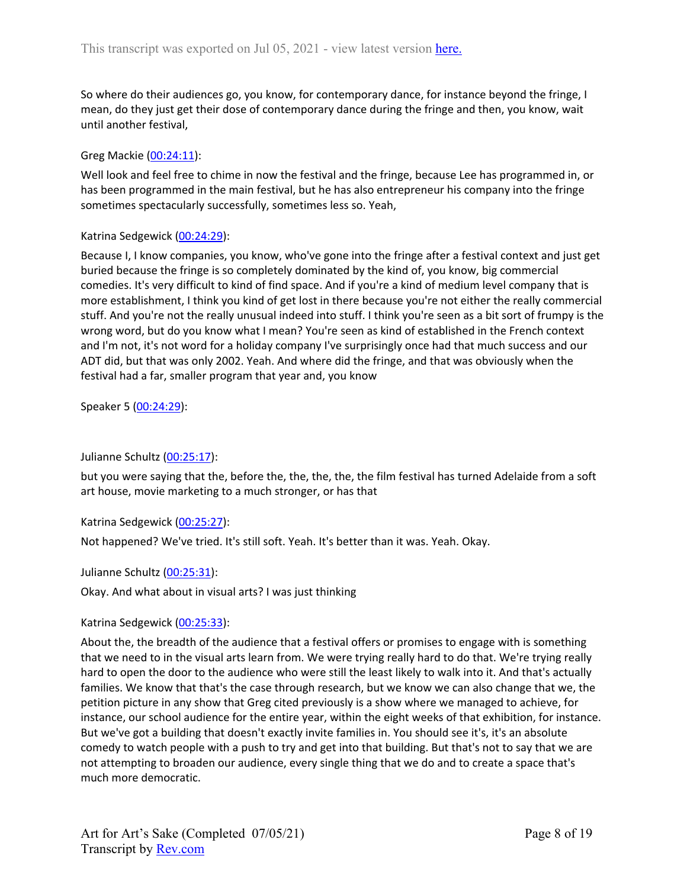So where do their audiences go, you know, for contemporary dance, for instance beyond the fringe, I mean, do they just get their dose of contemporary dance during the fringe and then, you know, wait until another festival,

## Greg Mackie [\(00:24:11](https://www.rev.com/transcript-editor/Edit?token=lF0VPcXZM3uHUs1LJxWoqAGREvQEUG8nQTg1zGaFixVfr-sUcyD2DxEhORZb7Zhs_mKy0iBgprmT8OOD4QfCGUJJXa4&loadFrom=DocumentDeeplink&ts=1451.44)):

Well look and feel free to chime in now the festival and the fringe, because Lee has programmed in, or has been programmed in the main festival, but he has also entrepreneur his company into the fringe sometimes spectacularly successfully, sometimes less so. Yeah,

## Katrina Sedgewick [\(00:24:29\)](https://www.rev.com/transcript-editor/Edit?token=pxJoN8nerOWCMo2iaGDFffTb40mNrlaIj0_z7Z1LF-gKgyhRB2-Z4dxOK4JHSuI7QKRTt2VWBedpFD-opej0E0nrqFw&loadFrom=DocumentDeeplink&ts=1469.74):

Because I, I know companies, you know, who've gone into the fringe after a festival context and just get buried because the fringe is so completely dominated by the kind of, you know, big commercial comedies. It's very difficult to kind of find space. And if you're a kind of medium level company that is more establishment, I think you kind of get lost in there because you're not either the really commercial stuff. And you're not the really unusual indeed into stuff. I think you're seen as a bit sort of frumpy is the wrong word, but do you know what I mean? You're seen as kind of established in the French context and I'm not, it's not word for a holiday company I've surprisingly once had that much success and our ADT did, but that was only 2002. Yeah. And where did the fringe, and that was obviously when the festival had a far, smaller program that year and, you know

Speaker 5 ([00:24:29](https://www.rev.com/transcript-editor/Edit?token=chZ_EL0UMwayd1KYT2jnoNRvKCh1_HWSS97gBZbjoMisBIOqeH0dm6uzqH61OvcL4-bhWksp5fwcFSH9SbyNPqhHd6o&loadFrom=DocumentDeeplink&ts=1469.74)):

# Julianne Schultz ([00:25:17](https://www.rev.com/transcript-editor/Edit?token=hV14iHaULRqw_q5yB15ctjDgUDluoglNGYCjKEpsWqEDSTESQsnuqoYP4rSfahOkXZN9jLJtQsAuOs5BYSIilSS6g3U&loadFrom=DocumentDeeplink&ts=1517.5)):

but you were saying that the, before the, the, the, the, the film festival has turned Adelaide from a soft art house, movie marketing to a much stronger, or has that

## Katrina Sedgewick [\(00:25:27\)](https://www.rev.com/transcript-editor/Edit?token=vFMpedCleMVDyaKzxj7woC7ZmU110ujDn4sY9pQZx-FiODnPPmr7V_bvq-Z4zj3BkbthUDg26CS7YnL3lbBt1iZnloc&loadFrom=DocumentDeeplink&ts=1527.22):

Not happened? We've tried. It's still soft. Yeah. It's better than it was. Yeah. Okay.

## Julianne Schultz ([00:25:31](https://www.rev.com/transcript-editor/Edit?token=HnTrLi4ib6IiwM154S1SDjbl2Wq9R5_QZkOcXT7iRwrVWF6x0Ue1bRbWVJfY4xITDKlnf7eT4iZ7kuTCy6Zfq8Y82y0&loadFrom=DocumentDeeplink&ts=1531.3)):

Okay. And what about in visual arts? I was just thinking

## Katrina Sedgewick [\(00:25:33\)](https://www.rev.com/transcript-editor/Edit?token=36POiryeKxWN29ipbGwu7Na5mePG5HXla834BLIitC1ns1XQ4ynrR9HI9jOMuqf_2LZ3vpyTObhH8eUbX_bQ0MAML0A&loadFrom=DocumentDeeplink&ts=1533.37):

About the, the breadth of the audience that a festival offers or promises to engage with is something that we need to in the visual arts learn from. We were trying really hard to do that. We're trying really hard to open the door to the audience who were still the least likely to walk into it. And that's actually families. We know that that's the case through research, but we know we can also change that we, the petition picture in any show that Greg cited previously is a show where we managed to achieve, for instance, our school audience for the entire year, within the eight weeks of that exhibition, for instance. But we've got a building that doesn't exactly invite families in. You should see it's, it's an absolute comedy to watch people with a push to try and get into that building. But that's not to say that we are not attempting to broaden our audience, every single thing that we do and to create a space that's much more democratic.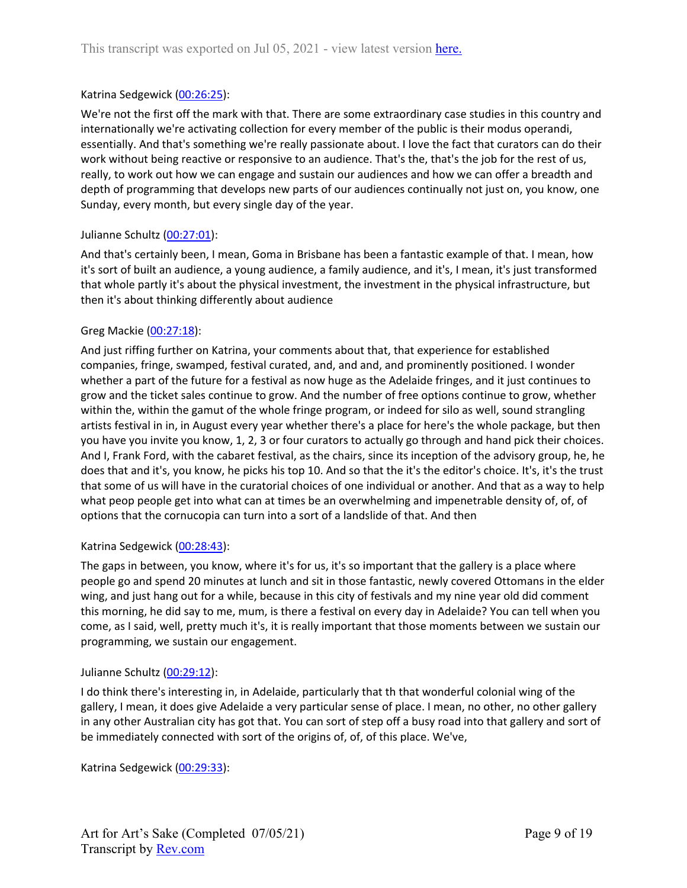## Katrina Sedgewick [\(00:26:25\)](https://www.rev.com/transcript-editor/Edit?token=r4joLhqA2PnJyagNNQ0I_N0J_SNd7t2NFryDmiYJrGUFW_VFLWES7Rgu7_Crj72t5ghev7Vj2QCDwxirtdJQLest3wg&loadFrom=DocumentDeeplink&ts=1585.75):

We're not the first off the mark with that. There are some extraordinary case studies in this country and internationally we're activating collection for every member of the public is their modus operandi, essentially. And that's something we're really passionate about. I love the fact that curators can do their work without being reactive or responsive to an audience. That's the, that's the job for the rest of us, really, to work out how we can engage and sustain our audiences and how we can offer a breadth and depth of programming that develops new parts of our audiences continually not just on, you know, one Sunday, every month, but every single day of the year.

## Julianne Schultz ([00:27:01](https://www.rev.com/transcript-editor/Edit?token=YrPTu-LQzRWKNGeqg6PrcqYb5V1p5LzUklGbb6j1wyUukkc2pxQHTZqDBwe7MUH69hVDszDo9WtKmW1m8Dt3kgth-C8&loadFrom=DocumentDeeplink&ts=1621.8)):

And that's certainly been, I mean, Goma in Brisbane has been a fantastic example of that. I mean, how it's sort of built an audience, a young audience, a family audience, and it's, I mean, it's just transformed that whole partly it's about the physical investment, the investment in the physical infrastructure, but then it's about thinking differently about audience

## Greg Mackie [\(00:27:18](https://www.rev.com/transcript-editor/Edit?token=kOkVeGAzxJ-ky9g_PNW_1RmyAf3DepiMfLh0HHG5DIdLmg1Fb3lCOPKbmUw3rbyqc1Wep_2Gf_M89AWNnFUbJhJ6b4A&loadFrom=DocumentDeeplink&ts=1638.73)):

And just riffing further on Katrina, your comments about that, that experience for established companies, fringe, swamped, festival curated, and, and and, and prominently positioned. I wonder whether a part of the future for a festival as now huge as the Adelaide fringes, and it just continues to grow and the ticket sales continue to grow. And the number of free options continue to grow, whether within the, within the gamut of the whole fringe program, or indeed for silo as well, sound strangling artists festival in in, in August every year whether there's a place for here's the whole package, but then you have you invite you know, 1, 2, 3 or four curators to actually go through and hand pick their choices. And I, Frank Ford, with the cabaret festival, as the chairs, since its inception of the advisory group, he, he does that and it's, you know, he picks his top 10. And so that the it's the editor's choice. It's, it's the trust that some of us will have in the curatorial choices of one individual or another. And that as a way to help what peop people get into what can at times be an overwhelming and impenetrable density of, of, of options that the cornucopia can turn into a sort of a landslide of that. And then

## Katrina Sedgewick [\(00:28:43\)](https://www.rev.com/transcript-editor/Edit?token=5sWPTg0DwYBcYTB6zXvpwgh7jbihUnEYxYTkRsmnYUaIGeobVhA4MwE9izMg4Hfqd9X1KBh4zmlUBcpowrUaGAvA_Ig&loadFrom=DocumentDeeplink&ts=1723.05):

The gaps in between, you know, where it's for us, it's so important that the gallery is a place where people go and spend 20 minutes at lunch and sit in those fantastic, newly covered Ottomans in the elder wing, and just hang out for a while, because in this city of festivals and my nine year old did comment this morning, he did say to me, mum, is there a festival on every day in Adelaide? You can tell when you come, as I said, well, pretty much it's, it is really important that those moments between we sustain our programming, we sustain our engagement.

## Julianne Schultz ([00:29:12](https://www.rev.com/transcript-editor/Edit?token=9upZ4t4W6q0osEMi6Iu4jszQqHFFHt1_QgxYrLIofPlOr1_HNmUfqR9O832j7wqQIv_DPPtpTy2a6zT3AOQa4aLfkY4&loadFrom=DocumentDeeplink&ts=1752.56)):

I do think there's interesting in, in Adelaide, particularly that th that wonderful colonial wing of the gallery, I mean, it does give Adelaide a very particular sense of place. I mean, no other, no other gallery in any other Australian city has got that. You can sort of step off a busy road into that gallery and sort of be immediately connected with sort of the origins of, of, of this place. We've,

Katrina Sedgewick [\(00:29:33\)](https://www.rev.com/transcript-editor/Edit?token=28c6JuJz0ysDdJuvXjN-IPnovSlcZeZPi3z26ua0O2j7p_jO4RH85annpvM7hiW_W7ytRHnqk7v1XoxowpZzAFwPpm0&loadFrom=DocumentDeeplink&ts=1773.32):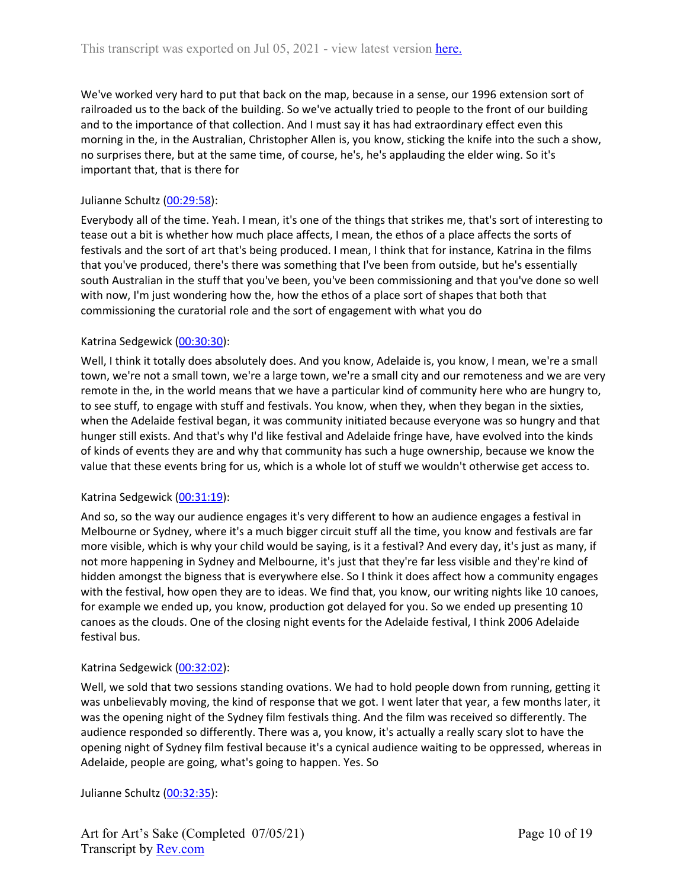We've worked very hard to put that back on the map, because in a sense, our 1996 extension sort of railroaded us to the back of the building. So we've actually tried to people to the front of our building and to the importance of that collection. And I must say it has had extraordinary effect even this morning in the, in the Australian, Christopher Allen is, you know, sticking the knife into the such a show, no surprises there, but at the same time, of course, he's, he's applauding the elder wing. So it's important that, that is there for

## Julianne Schultz ([00:29:58](https://www.rev.com/transcript-editor/Edit?token=P-EDuxzGB26I76WuV2MlW3URHasTPF-TgpjmREMX1TFHCu4mUVBslW1cz9Vjwt2ZJ123Y2PUM6ak4Rhbx3RUgcWs9N4&loadFrom=DocumentDeeplink&ts=1798)):

Everybody all of the time. Yeah. I mean, it's one of the things that strikes me, that's sort of interesting to tease out a bit is whether how much place affects, I mean, the ethos of a place affects the sorts of festivals and the sort of art that's being produced. I mean, I think that for instance, Katrina in the films that you've produced, there's there was something that I've been from outside, but he's essentially south Australian in the stuff that you've been, you've been commissioning and that you've done so well with now, I'm just wondering how the, how the ethos of a place sort of shapes that both that commissioning the curatorial role and the sort of engagement with what you do

## Katrina Sedgewick [\(00:30:30\)](https://www.rev.com/transcript-editor/Edit?token=WbysaW2_WeFQOcrZSUfIZNJBBBDsd7TWpaY3KR-PikXXQRcCQDE2KP4ovI8DI6vz5oPbGlvd5yWSQyvcdMig_q-C1Kk&loadFrom=DocumentDeeplink&ts=1830.39):

Well, I think it totally does absolutely does. And you know, Adelaide is, you know, I mean, we're a small town, we're not a small town, we're a large town, we're a small city and our remoteness and we are very remote in the, in the world means that we have a particular kind of community here who are hungry to, to see stuff, to engage with stuff and festivals. You know, when they, when they began in the sixties, when the Adelaide festival began, it was community initiated because everyone was so hungry and that hunger still exists. And that's why I'd like festival and Adelaide fringe have, have evolved into the kinds of kinds of events they are and why that community has such a huge ownership, because we know the value that these events bring for us, which is a whole lot of stuff we wouldn't otherwise get access to.

## Katrina Sedgewick [\(00:31:19\)](https://www.rev.com/transcript-editor/Edit?token=VgWwEkfbXsVigdOiDQciYPT7i3g8hIkHQiGeQbq6uG_u88oxmIry9s5NxvCl7pmvjksLr593XZS_jabo7e7eZGYXV1A&loadFrom=DocumentDeeplink&ts=1879.14):

And so, so the way our audience engages it's very different to how an audience engages a festival in Melbourne or Sydney, where it's a much bigger circuit stuff all the time, you know and festivals are far more visible, which is why your child would be saying, is it a festival? And every day, it's just as many, if not more happening in Sydney and Melbourne, it's just that they're far less visible and they're kind of hidden amongst the bigness that is everywhere else. So I think it does affect how a community engages with the festival, how open they are to ideas. We find that, you know, our writing nights like 10 canoes, for example we ended up, you know, production got delayed for you. So we ended up presenting 10 canoes as the clouds. One of the closing night events for the Adelaide festival, I think 2006 Adelaide festival bus.

## Katrina Sedgewick [\(00:32:02\)](https://www.rev.com/transcript-editor/Edit?token=FKW5gBIexUYU-jWtTraKB2lx3ecWIJHWt8kwq2MT5xAnqLuFkVqDnN5EPxsNsh9FIbDzI3HMn1aHLd7w3R6TlkQsJK4&loadFrom=DocumentDeeplink&ts=1922.97):

Well, we sold that two sessions standing ovations. We had to hold people down from running, getting it was unbelievably moving, the kind of response that we got. I went later that year, a few months later, it was the opening night of the Sydney film festivals thing. And the film was received so differently. The audience responded so differently. There was a, you know, it's actually a really scary slot to have the opening night of Sydney film festival because it's a cynical audience waiting to be oppressed, whereas in Adelaide, people are going, what's going to happen. Yes. So

Julianne Schultz ([00:32:35](https://www.rev.com/transcript-editor/Edit?token=dhyx7UNvQ_eR-1WJjuu1wOKUWleoLQv2Mgbx_vzTWSuImUFUUfanVjOGERU9Zc-5-HJnuaYjoYZoRa0SfV4MVqwvIBo&loadFrom=DocumentDeeplink&ts=1955.43)):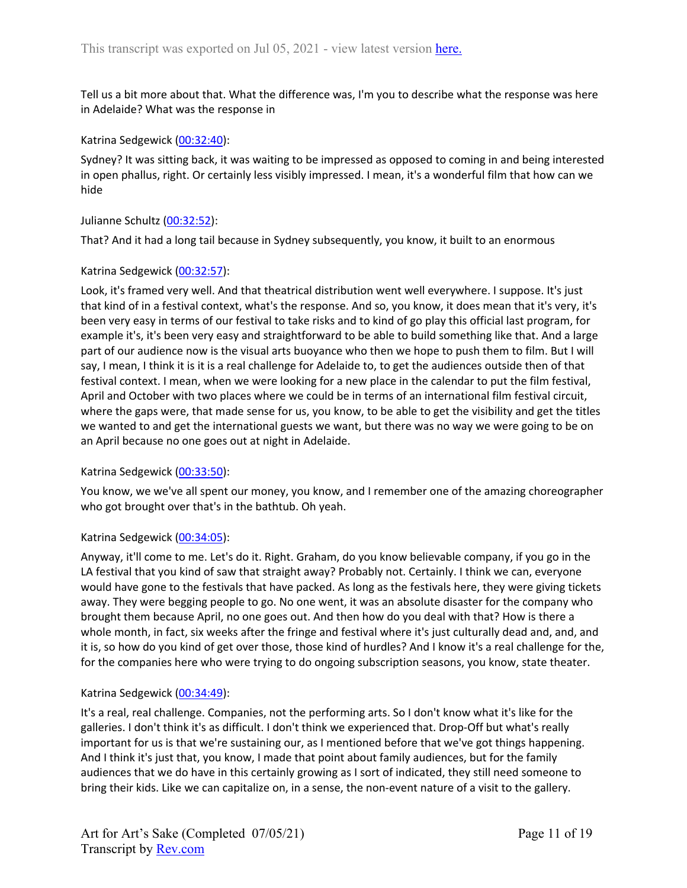Tell us a bit more about that. What the difference was, I'm you to describe what the response was here in Adelaide? What was the response in

## Katrina Sedgewick [\(00:32:40\)](https://www.rev.com/transcript-editor/Edit?token=EsaWpw8Ai5J0CkuVshhZSFsUefTgCuZu49oOOTJLbOxR2-CgBmnhvBIi7Di4V2bW0UA1deXbzDcjqmtOm3jMBcCc6go&loadFrom=DocumentDeeplink&ts=1960.79):

Sydney? It was sitting back, it was waiting to be impressed as opposed to coming in and being interested in open phallus, right. Or certainly less visibly impressed. I mean, it's a wonderful film that how can we hide

## Julianne Schultz ([00:32:52](https://www.rev.com/transcript-editor/Edit?token=SGFQnK78FVZwokiMgkZF6F-hkI_4GLb0NLSwOQyGBJUdCEAiyzl4IupkvMRxIlgLKL93Juj344EXRDYUMzx5MR8_gNc&loadFrom=DocumentDeeplink&ts=1972.17)):

That? And it had a long tail because in Sydney subsequently, you know, it built to an enormous

## Katrina Sedgewick [\(00:32:57\)](https://www.rev.com/transcript-editor/Edit?token=UufeSKYysnTRBSMkCYYZb_rP4x5N-5-Bgy1Mf8pbhS2UiA_nlWYznjv4aKeiuiUxA0K_3vc36wTK6gKSCmV3pZJQTQE&loadFrom=DocumentDeeplink&ts=1977.34):

Look, it's framed very well. And that theatrical distribution went well everywhere. I suppose. It's just that kind of in a festival context, what's the response. And so, you know, it does mean that it's very, it's been very easy in terms of our festival to take risks and to kind of go play this official last program, for example it's, it's been very easy and straightforward to be able to build something like that. And a large part of our audience now is the visual arts buoyance who then we hope to push them to film. But I will say, I mean, I think it is it is a real challenge for Adelaide to, to get the audiences outside then of that festival context. I mean, when we were looking for a new place in the calendar to put the film festival, April and October with two places where we could be in terms of an international film festival circuit, where the gaps were, that made sense for us, you know, to be able to get the visibility and get the titles we wanted to and get the international guests we want, but there was no way we were going to be on an April because no one goes out at night in Adelaide.

## Katrina Sedgewick [\(00:33:50\)](https://www.rev.com/transcript-editor/Edit?token=539M2d2RJzqvD5Sz0p5JLRTPMpZflospwPfHbLKMji92Gd8d7tKiEXDxv8ldtwBgxpv6zzX1qDFuXsLKxv5sMFuBwl8&loadFrom=DocumentDeeplink&ts=2030.65):

You know, we we've all spent our money, you know, and I remember one of the amazing choreographer who got brought over that's in the bathtub. Oh yeah.

## Katrina Sedgewick [\(00:34:05\)](https://www.rev.com/transcript-editor/Edit?token=uXtPfkUABPMTspx_ey-LHS5yglhE7ZbJG98plZvQKBydmaHn32u_6MWZayA5fojilqDVztNzq_ka2Ff0E1RkwQZzbB0&loadFrom=DocumentDeeplink&ts=2045.19):

Anyway, it'll come to me. Let's do it. Right. Graham, do you know believable company, if you go in the LA festival that you kind of saw that straight away? Probably not. Certainly. I think we can, everyone would have gone to the festivals that have packed. As long as the festivals here, they were giving tickets away. They were begging people to go. No one went, it was an absolute disaster for the company who brought them because April, no one goes out. And then how do you deal with that? How is there a whole month, in fact, six weeks after the fringe and festival where it's just culturally dead and, and, and it is, so how do you kind of get over those, those kind of hurdles? And I know it's a real challenge for the, for the companies here who were trying to do ongoing subscription seasons, you know, state theater.

## Katrina Sedgewick [\(00:34:49\)](https://www.rev.com/transcript-editor/Edit?token=x6ZSLBn2WNnqnw8GiQ404Qp-lyn3YAkJfDtmYZ4FmzUHiayzgRxid7vKJZDQlpPvLMYf0TUM9Q8Y1uR6m3mY1vIZxCQ&loadFrom=DocumentDeeplink&ts=2089.66):

It's a real, real challenge. Companies, not the performing arts. So I don't know what it's like for the galleries. I don't think it's as difficult. I don't think we experienced that. Drop-Off but what's really important for us is that we're sustaining our, as I mentioned before that we've got things happening. And I think it's just that, you know, I made that point about family audiences, but for the family audiences that we do have in this certainly growing as I sort of indicated, they still need someone to bring their kids. Like we can capitalize on, in a sense, the non-event nature of a visit to the gallery.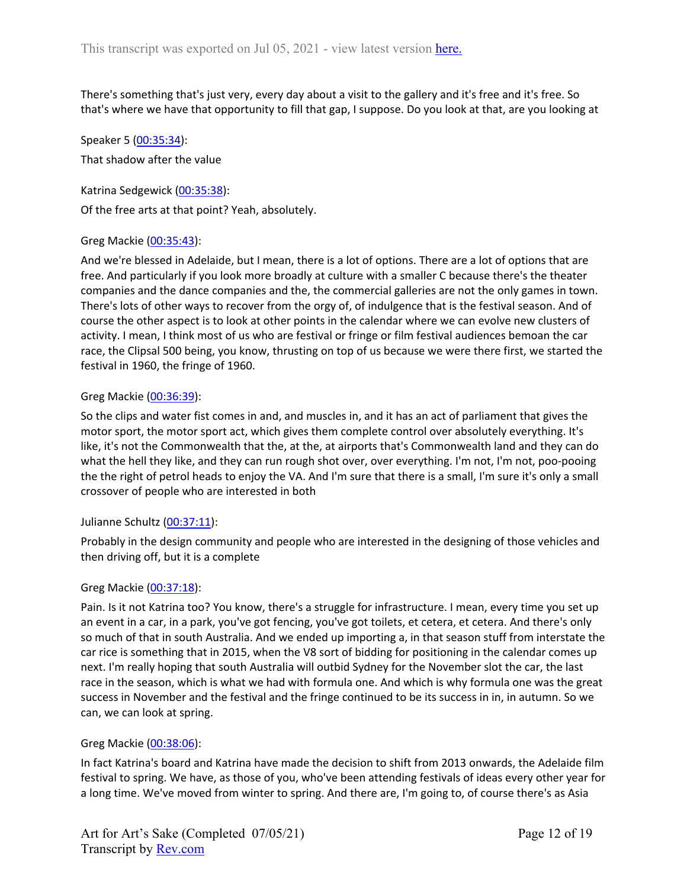There's something that's just very, every day about a visit to the gallery and it's free and it's free. So that's where we have that opportunity to fill that gap, I suppose. Do you look at that, are you looking at

Speaker 5 ([00:35:34](https://www.rev.com/transcript-editor/Edit?token=GIrZQggxaCCrGlLql98OPyEeNwTPMqatzfbl2ZWPJTumTt2Q-kkd2lsUNNiiK11Eu3zybWKi-CTXxTC2fuTPmfYRaJY&loadFrom=DocumentDeeplink&ts=2134.12)): That shadow after the value

Katrina Sedgewick [\(00:35:38\)](https://www.rev.com/transcript-editor/Edit?token=MDEho0LOoaHoGKnjGCOeO8nN720cADHdDK5Sp3Y_74PgXIxZSgW_CQm4laX9K4CrrwJJK3YQMNBCcbf08F2rCGKYmFs&loadFrom=DocumentDeeplink&ts=2138.04): Of the free arts at that point? Yeah, absolutely.

## Greg Mackie [\(00:35:43](https://www.rev.com/transcript-editor/Edit?token=80Uo-nCcEzHOLm7j5IFJ8SX6tTxFDyGRkgHUE22NeMXgQ5F8Ua-ZrsQglUVrQbcZPR3LLInI5pzhSExc3dFmgCKxH5U&loadFrom=DocumentDeeplink&ts=2143.16)):

And we're blessed in Adelaide, but I mean, there is a lot of options. There are a lot of options that are free. And particularly if you look more broadly at culture with a smaller C because there's the theater companies and the dance companies and the, the commercial galleries are not the only games in town. There's lots of other ways to recover from the orgy of, of indulgence that is the festival season. And of course the other aspect is to look at other points in the calendar where we can evolve new clusters of activity. I mean, I think most of us who are festival or fringe or film festival audiences bemoan the car race, the Clipsal 500 being, you know, thrusting on top of us because we were there first, we started the festival in 1960, the fringe of 1960.

## Greg Mackie [\(00:36:39](https://www.rev.com/transcript-editor/Edit?token=dsMEp8wKUBSghcDszJVqynld5C4wWgus1hibBijy-zZi0i0rf0v98MraV8LaKGP95O4di1CwE5Lt86KnDBruFzVsACw&loadFrom=DocumentDeeplink&ts=2199.62)):

So the clips and water fist comes in and, and muscles in, and it has an act of parliament that gives the motor sport, the motor sport act, which gives them complete control over absolutely everything. It's like, it's not the Commonwealth that the, at the, at airports that's Commonwealth land and they can do what the hell they like, and they can run rough shot over, over everything. I'm not, I'm not, poo-pooing the the right of petrol heads to enjoy the VA. And I'm sure that there is a small, I'm sure it's only a small crossover of people who are interested in both

## Julianne Schultz ([00:37:11](https://www.rev.com/transcript-editor/Edit?token=BfzQb9KOeLVk2r7RtHvQ47DJD2UTX_OG1-bHm-jSY_RVTGTpctu79Pr3fJ-VAHbdVtYKcdjVYprujcw8RUt0M_q3-Js&loadFrom=DocumentDeeplink&ts=2231.81)):

Probably in the design community and people who are interested in the designing of those vehicles and then driving off, but it is a complete

## Greg Mackie [\(00:37:18](https://www.rev.com/transcript-editor/Edit?token=rS36UbENyb_zClUAMVuFZXIsDNS9JdqsjmxBHuQOlkkuGAYkfs4Tgk5Oj-0ORtgvfJ5knU_6piz6FJZIW7T3GlTYXpQ&loadFrom=DocumentDeeplink&ts=2238.38)):

Pain. Is it not Katrina too? You know, there's a struggle for infrastructure. I mean, every time you set up an event in a car, in a park, you've got fencing, you've got toilets, et cetera, et cetera. And there's only so much of that in south Australia. And we ended up importing a, in that season stuff from interstate the car rice is something that in 2015, when the V8 sort of bidding for positioning in the calendar comes up next. I'm really hoping that south Australia will outbid Sydney for the November slot the car, the last race in the season, which is what we had with formula one. And which is why formula one was the great success in November and the festival and the fringe continued to be its success in in, in autumn. So we can, we can look at spring.

## Greg Mackie [\(00:38:06](https://www.rev.com/transcript-editor/Edit?token=MWVcJBNGYrYZnnld-a-Q8k063FKlOcQzZRuDeLWR1QCi6oqfiaudXkKjBBytI5In_cObzrjSiLydT-jcww_K7qFMj7M&loadFrom=DocumentDeeplink&ts=2286.92)):

In fact Katrina's board and Katrina have made the decision to shift from 2013 onwards, the Adelaide film festival to spring. We have, as those of you, who've been attending festivals of ideas every other year for a long time. We've moved from winter to spring. And there are, I'm going to, of course there's as Asia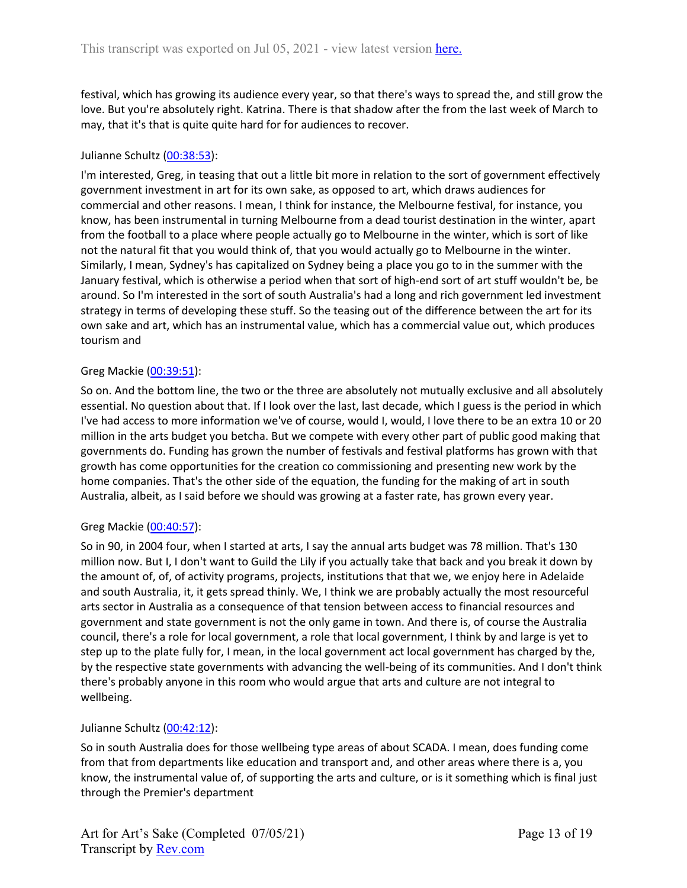festival, which has growing its audience every year, so that there's ways to spread the, and still grow the love. But you're absolutely right. Katrina. There is that shadow after the from the last week of March to may, that it's that is quite quite hard for for audiences to recover.

## Julianne Schultz ([00:38:53](https://www.rev.com/transcript-editor/Edit?token=vHmgSYlcCCM6Zw-mODWF6MQrFV4xsUwcH58YKCwT9eMe0JOf_gk8MNnD1xP-nE_5ZZq_ZLfdkLzoQP4RuYczpMRWcqI&loadFrom=DocumentDeeplink&ts=2333.09)):

I'm interested, Greg, in teasing that out a little bit more in relation to the sort of government effectively government investment in art for its own sake, as opposed to art, which draws audiences for commercial and other reasons. I mean, I think for instance, the Melbourne festival, for instance, you know, has been instrumental in turning Melbourne from a dead tourist destination in the winter, apart from the football to a place where people actually go to Melbourne in the winter, which is sort of like not the natural fit that you would think of, that you would actually go to Melbourne in the winter. Similarly, I mean, Sydney's has capitalized on Sydney being a place you go to in the summer with the January festival, which is otherwise a period when that sort of high-end sort of art stuff wouldn't be, be around. So I'm interested in the sort of south Australia's had a long and rich government led investment strategy in terms of developing these stuff. So the teasing out of the difference between the art for its own sake and art, which has an instrumental value, which has a commercial value out, which produces tourism and

## Greg Mackie [\(00:39:51](https://www.rev.com/transcript-editor/Edit?token=RFE01DBoaUexCabQDV4ChppUPxhAeaGDYzZFtQNua_VxqxsSJD3qPHVUqRIUZ57n0vglifCHV29DyYiI3Ijs7AF2iwY&loadFrom=DocumentDeeplink&ts=2391.33)):

So on. And the bottom line, the two or the three are absolutely not mutually exclusive and all absolutely essential. No question about that. If I look over the last, last decade, which I guess is the period in which I've had access to more information we've of course, would I, would, I love there to be an extra 10 or 20 million in the arts budget you betcha. But we compete with every other part of public good making that governments do. Funding has grown the number of festivals and festival platforms has grown with that growth has come opportunities for the creation co commissioning and presenting new work by the home companies. That's the other side of the equation, the funding for the making of art in south Australia, albeit, as I said before we should was growing at a faster rate, has grown every year.

## Greg Mackie [\(00:40:57](https://www.rev.com/transcript-editor/Edit?token=M0Yfl37CsZF4QSi7Fdl7x7uDg1voG7bZf1YAcQZ4dIy1nSc1AZ4aVxmet8hjy8hdXvief7mD1LRW85_2FDnTC0auB8U&loadFrom=DocumentDeeplink&ts=2457.06)):

So in 90, in 2004 four, when I started at arts, I say the annual arts budget was 78 million. That's 130 million now. But I, I don't want to Guild the Lily if you actually take that back and you break it down by the amount of, of, of activity programs, projects, institutions that that we, we enjoy here in Adelaide and south Australia, it, it gets spread thinly. We, I think we are probably actually the most resourceful arts sector in Australia as a consequence of that tension between access to financial resources and government and state government is not the only game in town. And there is, of course the Australia council, there's a role for local government, a role that local government, I think by and large is yet to step up to the plate fully for, I mean, in the local government act local government has charged by the, by the respective state governments with advancing the well-being of its communities. And I don't think there's probably anyone in this room who would argue that arts and culture are not integral to wellbeing.

# Julianne Schultz ([00:42:12](https://www.rev.com/transcript-editor/Edit?token=NTXFpkfi4wNpQhm7QV6_iARkSeQuA7KQGPu_th0uiU5ngLEi45aoQ0mT7HE31DlKbqSJOXXGAmbgyxs04iH4IRAkZ_o&loadFrom=DocumentDeeplink&ts=2532.17)):

So in south Australia does for those wellbeing type areas of about SCADA. I mean, does funding come from that from departments like education and transport and, and other areas where there is a, you know, the instrumental value of, of supporting the arts and culture, or is it something which is final just through the Premier's department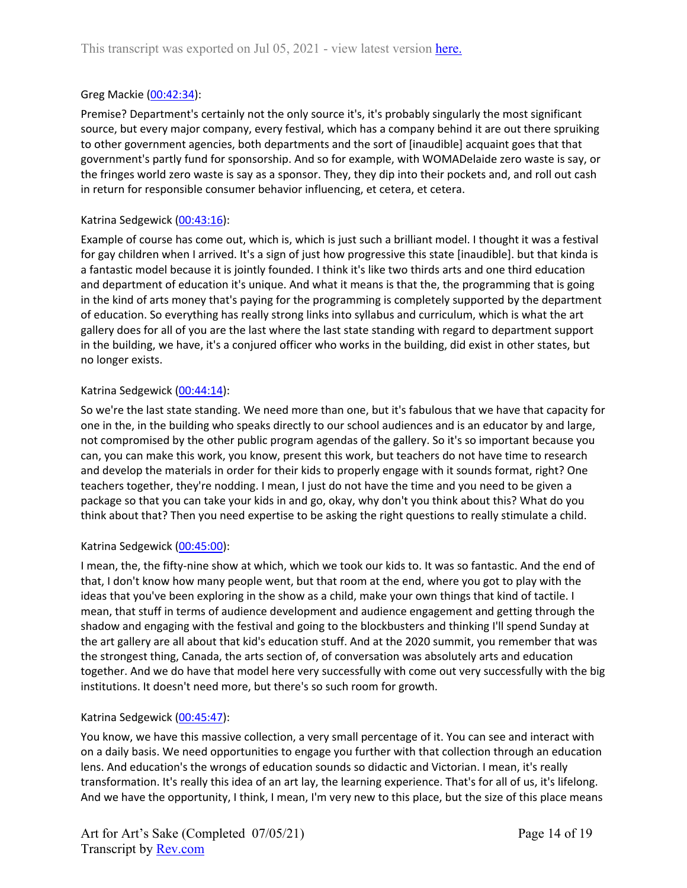## Greg Mackie [\(00:42:34](https://www.rev.com/transcript-editor/Edit?token=h8lq1Cj3e0vV2Tyy3HGsMo6Plktk7TgUDmLVeR_D2TZW42g1tQB4Qwcq4Izv4lHmEthPaTeYrk463-jkEcDbd1YsKSI&loadFrom=DocumentDeeplink&ts=2554.12)):

Premise? Department's certainly not the only source it's, it's probably singularly the most significant source, but every major company, every festival, which has a company behind it are out there spruiking to other government agencies, both departments and the sort of [inaudible] acquaint goes that that government's partly fund for sponsorship. And so for example, with WOMADelaide zero waste is say, or the fringes world zero waste is say as a sponsor. They, they dip into their pockets and, and roll out cash in return for responsible consumer behavior influencing, et cetera, et cetera.

## Katrina Sedgewick [\(00:43:16\)](https://www.rev.com/transcript-editor/Edit?token=iho54VXPiqLkJSmtKOyIPj2z8Fsi_tiDIEnQLsdalfBIZ7s4Qm-fWx9yZq5W-vymP0tVkymhz5jPJjctNMijScJBlW8&loadFrom=DocumentDeeplink&ts=2596.66):

Example of course has come out, which is, which is just such a brilliant model. I thought it was a festival for gay children when I arrived. It's a sign of just how progressive this state [inaudible]. but that kinda is a fantastic model because it is jointly founded. I think it's like two thirds arts and one third education and department of education it's unique. And what it means is that the, the programming that is going in the kind of arts money that's paying for the programming is completely supported by the department of education. So everything has really strong links into syllabus and curriculum, which is what the art gallery does for all of you are the last where the last state standing with regard to department support in the building, we have, it's a conjured officer who works in the building, did exist in other states, but no longer exists.

## Katrina Sedgewick [\(00:44:14\)](https://www.rev.com/transcript-editor/Edit?token=0S5UdiJNJrZkej6FQatFiMNGg8Zq7V2ezsgRvAfWs6nsu967I-sverY93-m_z2zVzjseVnuWCb_d0NUPTBX7GP4bOZc&loadFrom=DocumentDeeplink&ts=2654.41):

So we're the last state standing. We need more than one, but it's fabulous that we have that capacity for one in the, in the building who speaks directly to our school audiences and is an educator by and large, not compromised by the other public program agendas of the gallery. So it's so important because you can, you can make this work, you know, present this work, but teachers do not have time to research and develop the materials in order for their kids to properly engage with it sounds format, right? One teachers together, they're nodding. I mean, I just do not have the time and you need to be given a package so that you can take your kids in and go, okay, why don't you think about this? What do you think about that? Then you need expertise to be asking the right questions to really stimulate a child.

## Katrina Sedgewick [\(00:45:00\)](https://www.rev.com/transcript-editor/Edit?token=lXNH_90bRgdTet0wd7v797xZHHyDkuAzekpzbBAXWTzk_2dHVNzfJktJUAD3Sk0f6snNKyx-H4i8kgCpU84GkkhKuTk&loadFrom=DocumentDeeplink&ts=2700.51):

I mean, the, the fifty-nine show at which, which we took our kids to. It was so fantastic. And the end of that, I don't know how many people went, but that room at the end, where you got to play with the ideas that you've been exploring in the show as a child, make your own things that kind of tactile. I mean, that stuff in terms of audience development and audience engagement and getting through the shadow and engaging with the festival and going to the blockbusters and thinking I'll spend Sunday at the art gallery are all about that kid's education stuff. And at the 2020 summit, you remember that was the strongest thing, Canada, the arts section of, of conversation was absolutely arts and education together. And we do have that model here very successfully with come out very successfully with the big institutions. It doesn't need more, but there's so such room for growth.

## Katrina Sedgewick [\(00:45:47\)](https://www.rev.com/transcript-editor/Edit?token=ZWt_Ic9rvpnVRtvXviiwJTzNzSz9f9Ipj-hj6mWLlikuPzKAW0khZwiyGCZfSeMUhvWQZzzTT5BtS2WpyjusHWQPd2M&loadFrom=DocumentDeeplink&ts=2747.6):

You know, we have this massive collection, a very small percentage of it. You can see and interact with on a daily basis. We need opportunities to engage you further with that collection through an education lens. And education's the wrongs of education sounds so didactic and Victorian. I mean, it's really transformation. It's really this idea of an art lay, the learning experience. That's for all of us, it's lifelong. And we have the opportunity, I think, I mean, I'm very new to this place, but the size of this place means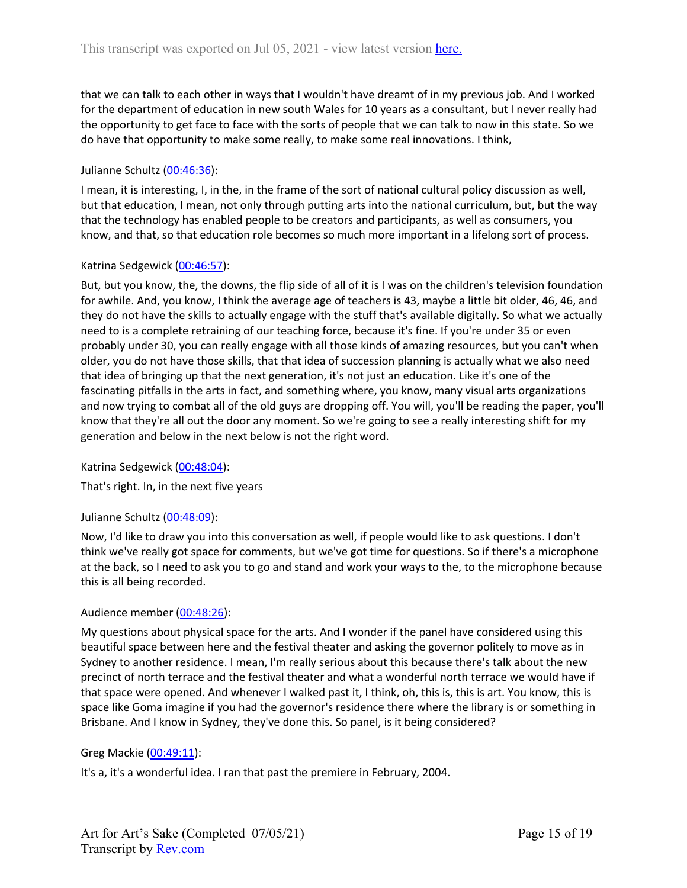that we can talk to each other in ways that I wouldn't have dreamt of in my previous job. And I worked for the department of education in new south Wales for 10 years as a consultant, but I never really had the opportunity to get face to face with the sorts of people that we can talk to now in this state. So we do have that opportunity to make some really, to make some real innovations. I think,

## Julianne Schultz ([00:46:36](https://www.rev.com/transcript-editor/Edit?token=fZOPjr8cRrUDiq1bqzWpltQREkMB5MhZ4lyBilq0qUniA0G_A7-_gLqaILV7rtw-tEo0Jv7YYCZYfEYJxpSYszBFOcA&loadFrom=DocumentDeeplink&ts=2796.44)):

I mean, it is interesting, I, in the, in the frame of the sort of national cultural policy discussion as well, but that education, I mean, not only through putting arts into the national curriculum, but, but the way that the technology has enabled people to be creators and participants, as well as consumers, you know, and that, so that education role becomes so much more important in a lifelong sort of process.

## Katrina Sedgewick [\(00:46:57\)](https://www.rev.com/transcript-editor/Edit?token=cS06mO0ePNKtnugbZ37dPXQ4wIbtOHycDofksFrzCVZiaVgXu0wxyCrqqXBhdylBl-X8Re8Y9fvbm2XuO5Qj-Y3FMTk&loadFrom=DocumentDeeplink&ts=2817.59):

But, but you know, the, the downs, the flip side of all of it is I was on the children's television foundation for awhile. And, you know, I think the average age of teachers is 43, maybe a little bit older, 46, 46, and they do not have the skills to actually engage with the stuff that's available digitally. So what we actually need to is a complete retraining of our teaching force, because it's fine. If you're under 35 or even probably under 30, you can really engage with all those kinds of amazing resources, but you can't when older, you do not have those skills, that that idea of succession planning is actually what we also need that idea of bringing up that the next generation, it's not just an education. Like it's one of the fascinating pitfalls in the arts in fact, and something where, you know, many visual arts organizations and now trying to combat all of the old guys are dropping off. You will, you'll be reading the paper, you'll know that they're all out the door any moment. So we're going to see a really interesting shift for my generation and below in the next below is not the right word.

Katrina Sedgewick [\(00:48:04\)](https://www.rev.com/transcript-editor/Edit?token=FDYZAe5ghMWfj2CWXU3NATsLUBwNLtUyjWdDcQ0rMqmgJt5gyCprLwEHhhQRy5ZHfyyVZ7a85TSVBhubeLHAoHlBMDw&loadFrom=DocumentDeeplink&ts=2884.9):

That's right. In, in the next five years

## Julianne Schultz ([00:48:09](https://www.rev.com/transcript-editor/Edit?token=iHygxHisq77r0_THp2R1u-X5P83x8UItPmlAXOyEg0gSh9TNpRcsCqnS1hevYpc5Tp--T11CN7d3Xwt6mzicwvwRQdE&loadFrom=DocumentDeeplink&ts=2889.1)):

Now, I'd like to draw you into this conversation as well, if people would like to ask questions. I don't think we've really got space for comments, but we've got time for questions. So if there's a microphone at the back, so I need to ask you to go and stand and work your ways to the, to the microphone because this is all being recorded.

## Audience member [\(00:48:26\)](https://www.rev.com/transcript-editor/Edit?token=cWIsHQVuJwYEWi5__6pqv_bCVJUH61t7HpIqPlDXXjZrK7ng4nc0hugw5Mrsr684UwDvYLqbBX0tDYXANdhP6wj0-XE&loadFrom=DocumentDeeplink&ts=2906.22):

My questions about physical space for the arts. And I wonder if the panel have considered using this beautiful space between here and the festival theater and asking the governor politely to move as in Sydney to another residence. I mean, I'm really serious about this because there's talk about the new precinct of north terrace and the festival theater and what a wonderful north terrace we would have if that space were opened. And whenever I walked past it, I think, oh, this is, this is art. You know, this is space like Goma imagine if you had the governor's residence there where the library is or something in Brisbane. And I know in Sydney, they've done this. So panel, is it being considered?

## Greg Mackie [\(00:49:11](https://www.rev.com/transcript-editor/Edit?token=if7sMPgMS6MJda17hFEwvkRQgrBmTDqXqlZ9k3cNBF0f8Nf3u1klMOKmEzIuWUFcrE2MT_MbMAJr4lHlT8DDHKIOoBM&loadFrom=DocumentDeeplink&ts=2951.91)):

It's a, it's a wonderful idea. I ran that past the premiere in February, 2004.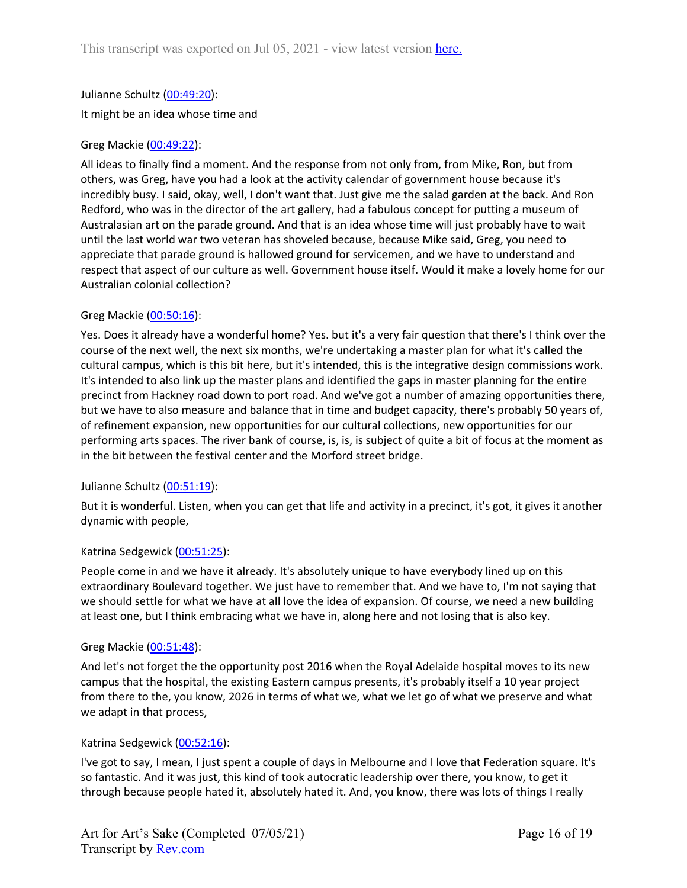# Julianne Schultz ([00:49:20](https://www.rev.com/transcript-editor/Edit?token=rbwFktOBz9Jn8LTDQciKv6aI1ujYDX1j61JBtGnWZSHzc1KLPMDiyaFOuZuOq5-4zJcXA2uGT4Q6b8nhT_ZbEAoqsXI&loadFrom=DocumentDeeplink&ts=2960.22)):

It might be an idea whose time and

## Greg Mackie [\(00:49:22](https://www.rev.com/transcript-editor/Edit?token=nVni7bxtVqRYU2lsoF8g2acX37V9NVvkaiCMBeRPYrh0-HRJZHSPLLTAy1qvdLgsILmnGAY1-P4uWd5O9zBUJ1bGhRo&loadFrom=DocumentDeeplink&ts=2962.25)):

All ideas to finally find a moment. And the response from not only from, from Mike, Ron, but from others, was Greg, have you had a look at the activity calendar of government house because it's incredibly busy. I said, okay, well, I don't want that. Just give me the salad garden at the back. And Ron Redford, who was in the director of the art gallery, had a fabulous concept for putting a museum of Australasian art on the parade ground. And that is an idea whose time will just probably have to wait until the last world war two veteran has shoveled because, because Mike said, Greg, you need to appreciate that parade ground is hallowed ground for servicemen, and we have to understand and respect that aspect of our culture as well. Government house itself. Would it make a lovely home for our Australian colonial collection?

## Greg Mackie [\(00:50:16](https://www.rev.com/transcript-editor/Edit?token=KHVppkdpnOTQLJiVDWwIAn1RvWe-sjdEFb6q8nOwQL3BDFYK5yz3b0YwovE9o_moISQ9Gr4V29edwkQ_80SW4NY71g0&loadFrom=DocumentDeeplink&ts=3016.95)):

Yes. Does it already have a wonderful home? Yes. but it's a very fair question that there's I think over the course of the next well, the next six months, we're undertaking a master plan for what it's called the cultural campus, which is this bit here, but it's intended, this is the integrative design commissions work. It's intended to also link up the master plans and identified the gaps in master planning for the entire precinct from Hackney road down to port road. And we've got a number of amazing opportunities there, but we have to also measure and balance that in time and budget capacity, there's probably 50 years of, of refinement expansion, new opportunities for our cultural collections, new opportunities for our performing arts spaces. The river bank of course, is, is, is subject of quite a bit of focus at the moment as in the bit between the festival center and the Morford street bridge.

## Julianne Schultz ([00:51:19](https://www.rev.com/transcript-editor/Edit?token=2vEVP6BthI7468PLHsX4aRnQoN6GFLThs2w1kBZJtlBifvrKmlf1zmBxc8YzVWBGekfL-2os7REdLToGKk1_2b9Da6c&loadFrom=DocumentDeeplink&ts=3079.96)):

But it is wonderful. Listen, when you can get that life and activity in a precinct, it's got, it gives it another dynamic with people,

## Katrina Sedgewick [\(00:51:25\)](https://www.rev.com/transcript-editor/Edit?token=YbfZ3whi_z6zWm0K57ow3eOF5M5HUPvlh01iM-Ccpg6ujQfENKdJFCVUUMUu7JWWcSoS20BAoc0V7H4zEYEU9_13qbE&loadFrom=DocumentDeeplink&ts=3085.9):

People come in and we have it already. It's absolutely unique to have everybody lined up on this extraordinary Boulevard together. We just have to remember that. And we have to, I'm not saying that we should settle for what we have at all love the idea of expansion. Of course, we need a new building at least one, but I think embracing what we have in, along here and not losing that is also key.

## Greg Mackie [\(00:51:48](https://www.rev.com/transcript-editor/Edit?token=CQvkDAeaFOCbZA_7CCo2Duvsy8GM4x2iVGfz45HbDRFqR78JmyN4kFb5WTdVVp6bPaNyDIukxpZMk9V5BUTSf3pK_n4&loadFrom=DocumentDeeplink&ts=3108.16)):

And let's not forget the the opportunity post 2016 when the Royal Adelaide hospital moves to its new campus that the hospital, the existing Eastern campus presents, it's probably itself a 10 year project from there to the, you know, 2026 in terms of what we, what we let go of what we preserve and what we adapt in that process,

## Katrina Sedgewick [\(00:52:16\)](https://www.rev.com/transcript-editor/Edit?token=Mt3aPp21ciuhQBANdYNzqrvNtQJKp3ff5a-0dHiVmn2UA-QBzbnSiyhS-vP7dnFMBFy6lBtx5oQCgq7sBL0ThMS13v0&loadFrom=DocumentDeeplink&ts=3136.57):

I've got to say, I mean, I just spent a couple of days in Melbourne and I love that Federation square. It's so fantastic. And it was just, this kind of took autocratic leadership over there, you know, to get it through because people hated it, absolutely hated it. And, you know, there was lots of things I really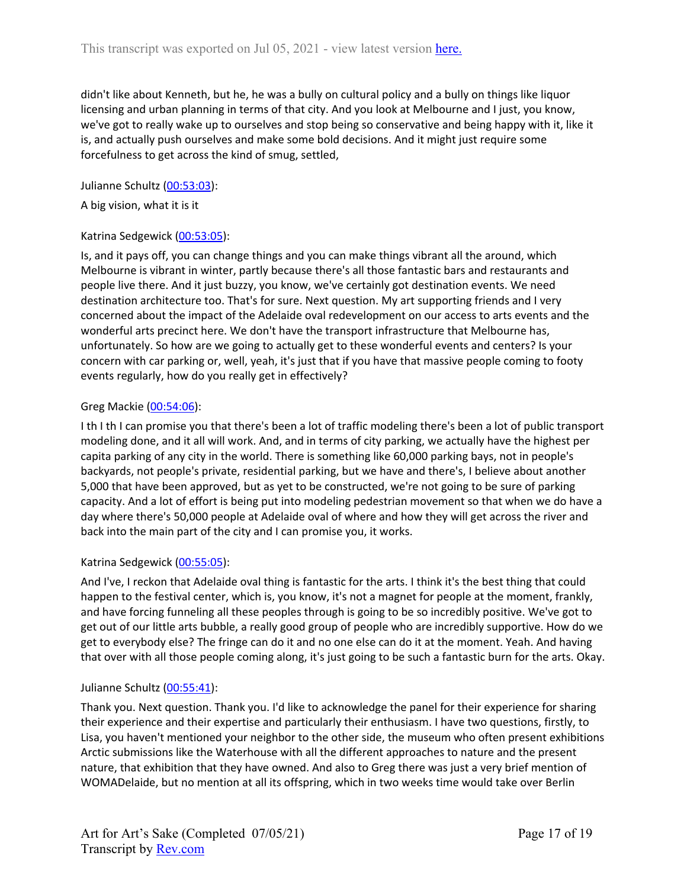didn't like about Kenneth, but he, he was a bully on cultural policy and a bully on things like liquor licensing and urban planning in terms of that city. And you look at Melbourne and I just, you know, we've got to really wake up to ourselves and stop being so conservative and being happy with it, like it is, and actually push ourselves and make some bold decisions. And it might just require some forcefulness to get across the kind of smug, settled,

Julianne Schultz ([00:53:03](https://www.rev.com/transcript-editor/Edit?token=7E9k0Gkh6ZLdl0QoOP9rZzywh1Q59JEeHURkAua4kTiykU1TGbh6R0zcxzmokaaeRvlrTJ-8eWgi_jXy3bfYVB9H4Es&loadFrom=DocumentDeeplink&ts=3183.93)):

A big vision, what it is it

#### Katrina Sedgewick [\(00:53:05\)](https://www.rev.com/transcript-editor/Edit?token=Ns-E5MZdGBbMVqvxTIddQsJcGmOxOrlk3GYw75N0gH1P8Po_xNngktjKXyBTZlrXI7VvfKXrWgt46ieUi_XaIfs_AE0&loadFrom=DocumentDeeplink&ts=3185.77):

Is, and it pays off, you can change things and you can make things vibrant all the around, which Melbourne is vibrant in winter, partly because there's all those fantastic bars and restaurants and people live there. And it just buzzy, you know, we've certainly got destination events. We need destination architecture too. That's for sure. Next question. My art supporting friends and I very concerned about the impact of the Adelaide oval redevelopment on our access to arts events and the wonderful arts precinct here. We don't have the transport infrastructure that Melbourne has, unfortunately. So how are we going to actually get to these wonderful events and centers? Is your concern with car parking or, well, yeah, it's just that if you have that massive people coming to footy events regularly, how do you really get in effectively?

#### Greg Mackie [\(00:54:06](https://www.rev.com/transcript-editor/Edit?token=o_lVx9Jp7TGD2Xh4IrKs7a2LrR9MgUlo_JuG7xmpeORcCVqntBP43-xgl9LI3W6szwCAAZHhkjJLn_vGQpOARj4ENAE&loadFrom=DocumentDeeplink&ts=3246.14)):

I th I th I can promise you that there's been a lot of traffic modeling there's been a lot of public transport modeling done, and it all will work. And, and in terms of city parking, we actually have the highest per capita parking of any city in the world. There is something like 60,000 parking bays, not in people's backyards, not people's private, residential parking, but we have and there's, I believe about another 5,000 that have been approved, but as yet to be constructed, we're not going to be sure of parking capacity. And a lot of effort is being put into modeling pedestrian movement so that when we do have a day where there's 50,000 people at Adelaide oval of where and how they will get across the river and back into the main part of the city and I can promise you, it works.

## Katrina Sedgewick [\(00:55:05\)](https://www.rev.com/transcript-editor/Edit?token=9VrfKFobmNQsVusONbVScUj2pJhxTG6gfHREWqtbUDvU1l1MQ0_YM7X-wbwC1NiBZCD3jpq-g3UhC6biDqxFpwhalmU&loadFrom=DocumentDeeplink&ts=3305.99):

And I've, I reckon that Adelaide oval thing is fantastic for the arts. I think it's the best thing that could happen to the festival center, which is, you know, it's not a magnet for people at the moment, frankly, and have forcing funneling all these peoples through is going to be so incredibly positive. We've got to get out of our little arts bubble, a really good group of people who are incredibly supportive. How do we get to everybody else? The fringe can do it and no one else can do it at the moment. Yeah. And having that over with all those people coming along, it's just going to be such a fantastic burn for the arts. Okay.

## Julianne Schultz ([00:55:41](https://www.rev.com/transcript-editor/Edit?token=HO4a87XL1r_jDrj7YU9RQaTz_LrZRNd3tFksomtz3lpLGo131kd02AUtyCkr0XKNutPTPoRoLMPkl7y4jlMhiUyTNe4&loadFrom=DocumentDeeplink&ts=3341.99)):

Thank you. Next question. Thank you. I'd like to acknowledge the panel for their experience for sharing their experience and their expertise and particularly their enthusiasm. I have two questions, firstly, to Lisa, you haven't mentioned your neighbor to the other side, the museum who often present exhibitions Arctic submissions like the Waterhouse with all the different approaches to nature and the present nature, that exhibition that they have owned. And also to Greg there was just a very brief mention of WOMADelaide, but no mention at all its offspring, which in two weeks time would take over Berlin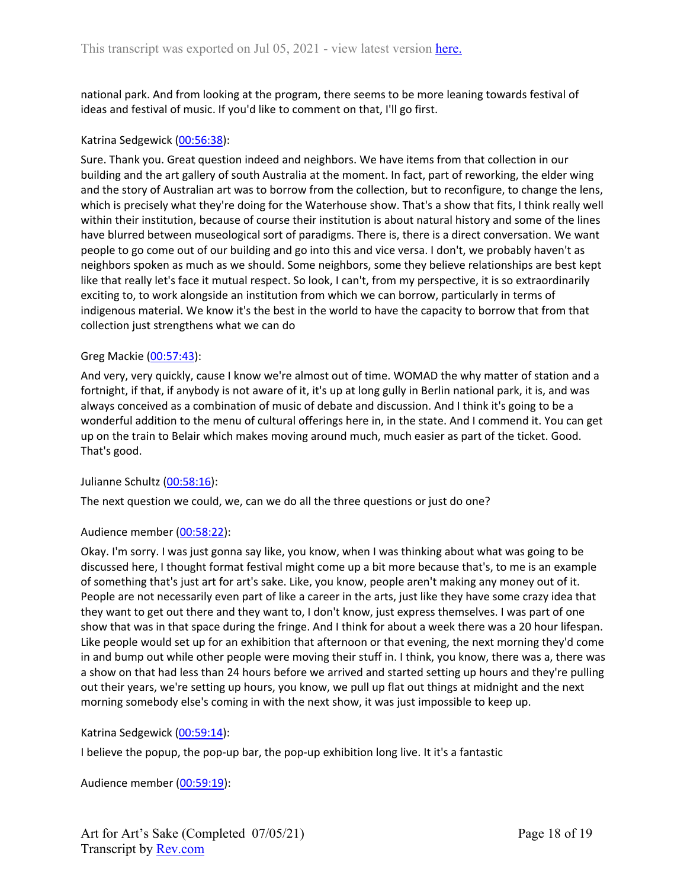national park. And from looking at the program, there seems to be more leaning towards festival of ideas and festival of music. If you'd like to comment on that, I'll go first.

#### Katrina Sedgewick [\(00:56:38\)](https://www.rev.com/transcript-editor/Edit?token=ENp_JiVhCZJq2U1LsrJphSpw7GOg9i8zCP1noH-1UAXaKwlOIbtulv3_cP46yb41VJqHQTKxGqiaVIKQG7bkwuoVDvI&loadFrom=DocumentDeeplink&ts=3398.77):

Sure. Thank you. Great question indeed and neighbors. We have items from that collection in our building and the art gallery of south Australia at the moment. In fact, part of reworking, the elder wing and the story of Australian art was to borrow from the collection, but to reconfigure, to change the lens, which is precisely what they're doing for the Waterhouse show. That's a show that fits, I think really well within their institution, because of course their institution is about natural history and some of the lines have blurred between museological sort of paradigms. There is, there is a direct conversation. We want people to go come out of our building and go into this and vice versa. I don't, we probably haven't as neighbors spoken as much as we should. Some neighbors, some they believe relationships are best kept like that really let's face it mutual respect. So look, I can't, from my perspective, it is so extraordinarily exciting to, to work alongside an institution from which we can borrow, particularly in terms of indigenous material. We know it's the best in the world to have the capacity to borrow that from that collection just strengthens what we can do

#### Greg Mackie [\(00:57:43](https://www.rev.com/transcript-editor/Edit?token=cVNmiX3_25v5sQhkZIJUbwKFeOBQnJcBsGFrXXb4QXY5ZEu8N4P_1udup6HUkZfjNFg93mvQt4O16Dfv-cgUwFR9jIo&loadFrom=DocumentDeeplink&ts=3463.77)):

And very, very quickly, cause I know we're almost out of time. WOMAD the why matter of station and a fortnight, if that, if anybody is not aware of it, it's up at long gully in Berlin national park, it is, and was always conceived as a combination of music of debate and discussion. And I think it's going to be a wonderful addition to the menu of cultural offerings here in, in the state. And I commend it. You can get up on the train to Belair which makes moving around much, much easier as part of the ticket. Good. That's good.

#### Julianne Schultz ([00:58:16](https://www.rev.com/transcript-editor/Edit?token=81yqICT5wj7vqIULfAmAY9C3_EF19WNsGOa-a96I7M-VKoyNcHk8ei-mZtcGXWkcTwqAjZHuwdnhczANvHHY8Pf43KU&loadFrom=DocumentDeeplink&ts=3496.5)):

The next question we could, we, can we do all the three questions or just do one?

## Audience member [\(00:58:22\)](https://www.rev.com/transcript-editor/Edit?token=YaMClL8ICqEIwaHNc-E0vOP7524xnbFtj8Vn3kT_bc4rmAEbLsZhaHqL12t-FMVF-WSh5G0KvLuiPETfrTrHlSqNuBA&loadFrom=DocumentDeeplink&ts=3502.14):

Okay. I'm sorry. I was just gonna say like, you know, when I was thinking about what was going to be discussed here, I thought format festival might come up a bit more because that's, to me is an example of something that's just art for art's sake. Like, you know, people aren't making any money out of it. People are not necessarily even part of like a career in the arts, just like they have some crazy idea that they want to get out there and they want to, I don't know, just express themselves. I was part of one show that was in that space during the fringe. And I think for about a week there was a 20 hour lifespan. Like people would set up for an exhibition that afternoon or that evening, the next morning they'd come in and bump out while other people were moving their stuff in. I think, you know, there was a, there was a show on that had less than 24 hours before we arrived and started setting up hours and they're pulling out their years, we're setting up hours, you know, we pull up flat out things at midnight and the next morning somebody else's coming in with the next show, it was just impossible to keep up.

## Katrina Sedgewick [\(00:59:14\)](https://www.rev.com/transcript-editor/Edit?token=NX4aibhtNXugFsIAn39YSUE8bGTx2e0zORq62fWExmGygnp6NjIxvRCJ6jvXP6a_4qlDsmeNuKYdjQAkw0K2fP5INnA&loadFrom=DocumentDeeplink&ts=3554.88):

I believe the popup, the pop-up bar, the pop-up exhibition long live. It it's a fantastic

Audience member [\(00:59:19\)](https://www.rev.com/transcript-editor/Edit?token=-TnUGgiU35SiAchxyQJ81omlVa_hE19GNKvEmpzu4uW4oO5_q35f37RZ8F8SQeAsmWkd5HbI_qjjKNgtSSdeJhb1Vm0&loadFrom=DocumentDeeplink&ts=3559.26):